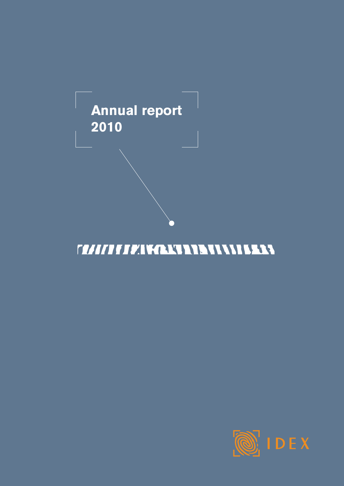

# <u>TIIIII II KANNINII VIIXI</u>

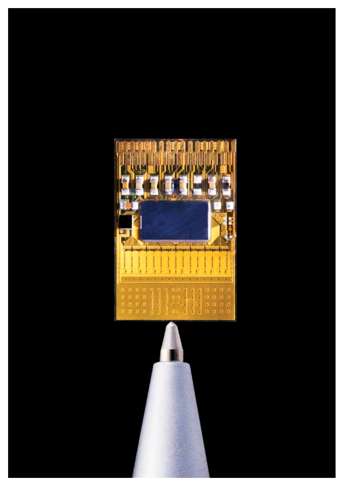

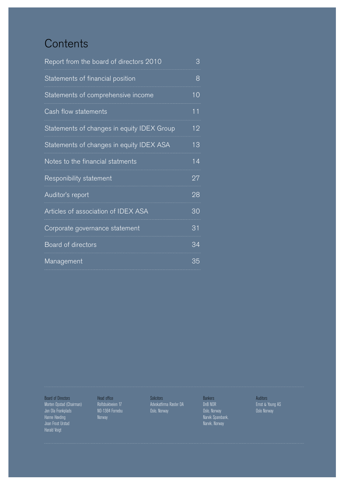# **Contents**

| Report from the board of directors 2010    | 3               |
|--------------------------------------------|-----------------|
| Statements of financial position           | 8               |
| Statements of comprehensive income         | 10              |
| Cash flow statements                       | $\overline{1}1$ |
| Statements of changes in equity IDEX Group | 12              |
| Statements of changes in equity IDEX ASA   | 13              |
| Notes to the financial statments           | 14              |
| <b>Responibility statement</b>             | 27              |
| Auditor's report                           | 28              |
| Articles of association of IDEX ASA        | 30              |
| Corporate governance statement             | 31              |
| Board of directors                         | 34              |
| Management                                 | 35              |

Board of Directors Morten Opstad (Chairman) Jon Ola Frankplads Hanne Høvding Joan Frost Urstad Harald Voigt

Head office Rolfsbuktveien 17 NO-1364 Fornebu Norway

Solicitors Advokatfirma Ræder DA Oslo, Norway

Bankers DnB NOR Oslo, Norway Narvik Sparebank, Narvik, Norway

Auditors Ernst & Young AS Oslo Norway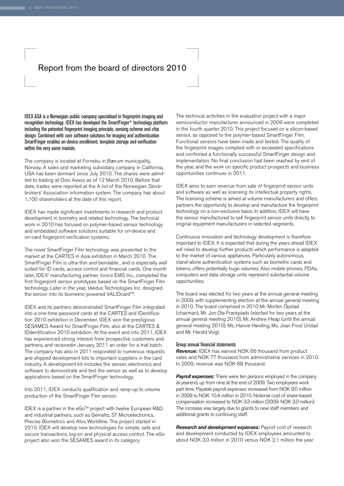### Report from the board of directors 2010

IDEX ASA is a Norwegian public company specialised in fingerprint imaging and recognition technology. IDEX has developed the SmartFinger® technology platform including the patented fingerprint imaging principle, sensing scheme and chip design. Combined with core software solutions for imaging and authentication SmartFinger enables on-device enrollment, template storage and verification within the very same module.

4 IDEX / ÅRSRAPPORT 2010

The company is located at Fornebu in Bærum municipality, Norway. A sales and marketing subsidiary company in California, USA has been dormant since July 2010. The shares were admitted to trading at Oslo Axess as of 12 March 2010. Before that date, trades were reported at the A list of the Norwegian Stockbrokers' Association information system. The company has about 1,100 shareholders at the date of this report.

IDEX has made significant investments in research and product development in biometry and related technology. The technical work in 2010 has focused on polymer-based sensor technology and embedded software solutions suitable for on-device and on-card fingerprint verification systems.

The novel SmartFinger Film technology was presented to the market at the CARTES in Asia exhibition in March 2010. The SmartFinger Film is ultra-thin and bendable , and is especially well suited for ID cards, access control and financial cards. One month later, IDEX' manufacturing partner, Ionics EMS Inc., completed the first fingerprint sensor prototypes based on the SmartFinger Film technology. Later in the year, Validus Technologies Inc. designed the sensor into its biometric-powered VALIDcard™.

IDEX and its partners demonstrated SmartFinger Film integrated into a one-time password cards at the CARTES and IDentification 2010 exhibition in December. IDEX won the prestigious SESAMES Award for SmartFinger Film, also at the CARTES & IDdentification 2010 exhibition. At the event and into 2011, IDEX has experienced strong interest from prospective customers and partners, and receivedin January 2011 an order for a trial batch. The company has also in 2011 responded to numerous requests and shipped development kits to important suppliers in the card industry. A development kit includes the sensor, electronics and software to demonstrate and test the sensor as well as to develop applications based on the SmartFinger technology.

Into 2011, IDEX conducts qualification and ramp-up to volume production of the SmartFinger Film sensor.

IDEX is a partner in the eGo™ project with twelve European R&D and industrial partners, such as Gemalto, ST Microelectronics, Precise Biometrics and Atos Worldline. The project started in 2010. IDEX will develop new technologies for simple, safe and secure transactions, log-on and physical access control. The eGo project also won the SESAMES award in its category.

The technical activities in the evaluation project with a major semiconductor manufacturer announced in 2009 were completed in the fourth quarter 2010. This project focused on a silicon-based sensor, as opposed to the polymer-based SmartFinger Film. Functional sensors have been made and tested. The quality of the fingerprint images complied with or exceeded specifications and confirmed a functionally successful SmartFinger design and implementation. No final conclusion had been reached by end of the year, and the work on specific product prospects and business opportunities continues in 2011.

IDEX aims to earn revenue from sale of fingerprint sensor units and software as well as licensing its intellectual property rights. The licensing scheme is aimed at volume manufacturers and offers partners the opportunity to develop and manufacture the fingerprint technology on a non-exclusive basis. In addition, IDEX will have the sensor manufactured to sell fingerprint sensor units directly to original equipment manufacturers in selected segments.

Continuous innovation and technology development is therefore important to IDEX. It is expected that during the years ahead IDEX will need to develop further products which performance is adapted to the market of various appliances. Particularly autonomous, stand-alone authentication systems such as biometric cards and tokens, offers potentially huge volumes. Also mobile phones, PDAs, computers and data storage units represent substantial volume opportunities.

The board was elected for two years at the annual general meeting in 2009, with supplementing election at the annual general meeting in 2010. The board comprised in 2010 Mr. Morten Opstad (chairman), Mr. Jon Ola Frankplads (elected for two years at the annual general meeting 2010), Mr. Andrew Heap (until the annual general meeting 2010), Ms. Hanne Høvding, Ms. Joan Frost Urstad and Mr. Harald Voigt.

#### Group annual financial statements

*Revenue:* IDEX has earned NOK 66 thousand from product sales and NOK 77 thousand from administrative services in 2010. In 2009, revenue was NOK 68 thousand.

**Payroll expenses:** There were ten persons employed in the company at yearend, up from nine at the end of 2009. Two employees work part time. Payable payroll expenses increased from NOK 9.0 million in 2009 to NOK 10.4 million in 2010. Notional cost of share-based compensation increased to NOK 3.3 million (2009: NOK 3.0 million). The increase was largely due to grants to new staff members and additional grants to continuing staff.

*Research and development expenses:* Payroll cost of research and development conducted by IDEX employees amounted to about NOK 3.0 million in 2010 versus NOK 2.1 million the year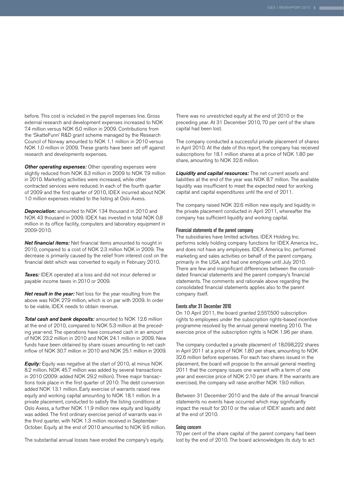before. This cost is included in the payroll expenses line. Gross external research and development expenses increased to NOK 7.4 million versus NOK 6.0 million in 2009. Contributions from the 'SkatteFunn' R&D grant scheme managed by the Research Council of Norway amounted to NOK 1.1 million in 2010 versus NOK 1.0 million in 2009. These grants have been set off against research and developments expenses.

**Other operating expenses:** Other operating expenses were slightly reduced from NOK 8.3 million in 2009 to NOK 7.9 million in 2010. Marketing activities were increased, while other contracted services were reduced. In each of the fourth quarter of 2009 and the first quarter of 2010, IDEX incurred about NOK 1.0 million expenses related to the listing at Oslo Axess.

*Depreciation:* amounted to NOK 134 thousand in 2010 and NOK 43 thousand in 2009. IDEX has invested in total NOK 0.8 million in its office facility, computers and laboratory equipment in 2009-2010.

*Net financial items:* Net financial items amounted to nought in 2010, compared to a cost of NOK 2.3 million NOK in 2009. The decrease is primarily caused by the relief from interest cost on the financial debt which was converted to equity in February 2010.

**Taxes:** IDEX operated at a loss and did not incur deferred or payable income taxes in 2010 or 2009.

*Net result in the year:* Net loss for the year resulting from the above was NOK 27.9 million, which is on par with 2009. In order to be viable, IDEX needs to obtain revenue.

*Total cash and bank deposits:* amounted to NOK 12.6 million at the end of 2010, compared to NOK 5.3 million at the preceding year-end. The operations have consumed cash in an amount of NOK 23.2 million in 2010 and NOK 24.1 million in 2009. New funds have been obtained by share issues amounting to net cash inflow of NOK 30.7 million in 2010 and NOK 25.1 million in 2009.

*Equity:* Equity was negative at the start of 2010, at minus NOK 8.2 million. NOK 45.7 million was added by several transactions in 2010 (2009: added NOK 29.2 million). Three major transactions took place in the first quarter of 2010: The debt conversion added NOK 13.1 million. Early exercise of warrants raised new equity and working capital amounting to NOK 18.1 million. In a private placement, conducted to satisfy the listing conditions at Oslo Axess, a further NOK 11.9 million new equity and liquidity was added. The first ordinary exercise period of warrants was in the third quarter, with NOK 1.3 million received in September-October. Equity at the end of 2010 amounted to NOK 9.6 million.

The substantial annual losses have eroded the company's equity.

There was no unrestricted equity at the end of 2010 or the preceding year. At 31 December 2010, 70 per cent of the share capital had been lost.

The company conducted a successful private placement of shares in April 2010. At the date of this report, the company has received subscriptions for 18.1 million shares at a price of NOK 1.80 per share, amounting to NOK 32.6 million.

*Liquidity and capital resources:* The net current assets and liabilities at the end of the year was NOK 8.7 million. The available liquidity was insufficient to meet the expected need for working capital and capital expenditures until the end of 2011.

The company raised NOK 32.6 million new equity and liquidity in the private placement conducted in April 2011, whereafter the company has sufficient liquidity and working capital.

#### Financial statements of the parent company

The subsidiaries have limited activities. IDEX Holding Inc. performs solely holding company functions for IDEX America Inc., and does not have any employees. IDEX America Inc. performed marketing and sales activities on behalf of the parent company, primarily in the USA, and had one employee until July 2010. There are few and insignificant differences between the consolidated financial statements and the parent company's financial statements. The comments and rationale above regarding the consolidated financial statements applies also to the parent company itself.

#### Events after 31 December 2010

On 10 April 2011, the board granted 2,557,500 subscription rights to employees under the subscription rights-based incentive programme resolved by the annual general meeting 2010. The exercise price of the subscription rights is NOK 1.96 per share.

The company conducted a private placement of 18,098,222 shares in April 2011 at a price of NOK 1.80 per share, amounting to NOK 32.6 million before expenses. For each two shares issued in the placement, the board will propose to the annual general meeting 2011 that the company issues one warrant with a term of one year and exercise price of NOK 2.10 per share. If the warrants are exercised, the company will raise another NOK 19.0 million.

Between 31 December 2010 and the date of the annual financial statements no events have occurred which may significantly impact the result for 2010 or the value of IDEX' assets and debt at the end of 2010.

#### Going concern

70 per cent of the share capital of the parent company had been lost by the end of 2010. The board acknowledges its duty to act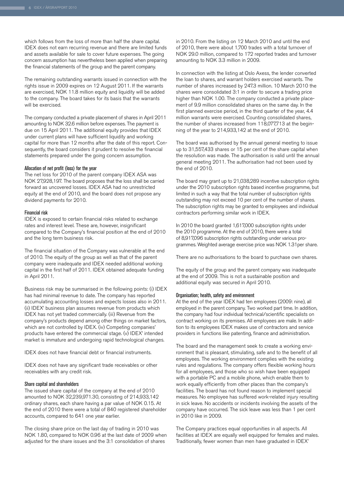which follows from the loss of more than half the share capital. IDEX does not earn recurring revenue and there are limited funds and assets available for sale to cover future expenses. The going concern assumption has nevertheless been applied when preparing the financial statements of the group and the parent company.

The remaining outstanding warrants issued in connection with the rights issue in 2009 expires on 12 August 2011. If the warrants are exercised, NOK 11.8 million equity and liquidity will be added to the company. The board takes for its basis that the warrants will be exercised.

The company conducted a private placement of shares in April 2011 amounting to NOK 32.6 million before expenses. The payment is due on 15 April 2011. The additional equity provides that IDEX under current plans will have sufficient liquidity and working capital for more than 12 months after the date of this report. Consequently, the board considers it prudent to resolve the financial statements prepared under the going concern assumption.

#### Allocation of net profit (loss) for the year

The net loss for 2010 of the parent company IDEX ASA was NOK 27,928,197. The board proposes that the loss shall be carried forward as uncovered losses. IDEX ASA had no unrestricted equity at the end of 2010, and the board does not propose any dividend payments for 2010.

#### Financial risk

IDEX is exposed to certain financial risks related to exchange rates and interest level. These are, however, insignificant compared to the Company's financial position at the end of 2010 and the long term business risk.

The financial situation of the Company was vulnerable at the end of 2010. The equity of the group as well as that of the parent company were inadequate and IDEX needed additional working capital in the first half of 2011. IDEX obtained adequate funding in April 2011.

Business risk may be summarised in the following points: (i) IDEX has had minimal revenue to date. The company has reported accumulating accounting losses and expects losses also in 2011. (ii) IDEX' business plan assumes revenue from products which IDEX has not yet traded commercially. (iii) Revenue from the company's products depend among other things on market factors, which are not controlled by IDEX. (iv) Competing companies' products have entered the commercial stage. (v) IDEX' intended market is immature and undergoing rapid technological changes.

IDEX does not have financial debt or financial instruments.

IDEX does not have any significant trade receivables or other receivables with any credit risk.

#### Share capital and shareholders

The issued share capital of the company at the end of 2010 amounted to NOK 32,239,971.30, consisting of 214,933,142 ordinary shares, each share having a par value of NOK 0.15. At the end of 2010 there were a total of 840 registered shareholder accounts, compared to 641 one year earlier.

The closing share price on the last day of trading in 2010 was NOK 1.80, compared to NOK 0.96 at the last date of 2009 when adjusted for the share issues and the 3:1 consolidation of shares

in 2010. From the listing on 12 March 2010 and until the end of 2010, there were about 1,700 trades with a total turnover of NOK 29.0 million, compared to 172 reported trades and turnover amounting to NOK 3.3 million in 2009.

In connection with the listing at Oslo Axess, the lender converted the loan to shares, and warrant holders exercised warrants. The number of shares increased by 247.3 million. 10 March 2010 the shares were consolidated 3:1 in order to secure a trading price higher than NOK 1.00. The company conducted a private placement of 9.9 million consolidated shares on the same day. In the first planned exercise period, in the third quarter of the year, 4.4 million warrants were exercised. Counting consolidated shares, the number of shares increased from 118,077,713 at the beginning of the year to 214,933,142 at the end of 2010.

The board was authorised by the annual general meeting to issue up to 31,557,433 shares or 15 per cent of the share capital when the resolution was made. The authorisation is valid until the annual general meeting 2011. The authorisation had not been used by the end of 2010.

The board may grant up to 21,038,289 incentive subscription rights under the 2010 subscription rights based incentive programme, but limited in such a way that the total number of subscription rights outstanding may not exceed 10 per cent of the number of shares. The subscription rights may be granted to employees and individual contractors performing similar work in IDEX.

In 2010 the board granted 1,617,000 subscription rights under the 2010 programme. At the end of 2010, there were a total of 8,917,096 subscription rights outstanding under various programmes. Weighted average exercise price was NOK 1.31per share.

There are no authorisations to the board to purchase own shares.

The equity of the group and the parent company was inadequate at the end of 2009. This is not a sustainable position and additional equity was secured in April 2010.

#### Organisation; health, safety and environment

At the end of the year IDEX had ten employees (2009: nine), all employed in the parent company. Two worked part time. In addition, the company had four individual technical/scientific specialists on contract working on its premises. All employees are male. In addition to its employees IDEX makes use of contractors and service providers in functions like patenting, finance and administration.

The board and the management seek to create a working environment that is pleasant, stimulating, safe and to the benefit of all employees. The working environment complies with the existing rules and regulations. The company offers flexible working hours for all employees, and those who so wish have been equipped with a portable PC and a mobile phone, which enable them to work equally efficiently from other places than the company's facilities. The board has not found reason to implement special measures. No employee has suffered work-related injury resulting in sick leave. No accidents or incidents involving the assets of the company have occurred. The sick leave was less than 1 per cent in 2010 like in 2009.

The Company practices equal opportunities in all aspects. All facilities at IDEX are equally well equipped for females and males. Traditionally, fewer women than men have graduated in IDEX'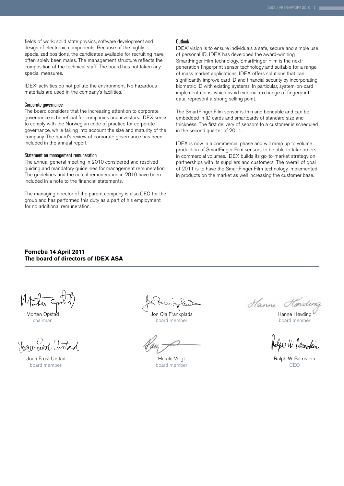fields of work: solid state physics, software development and design of electronic components. Because of the highly specialized positions, the candidates available for recruiting have often solely been males. The management structure reflects the composition of the technical staff. The board has not taken any special measures.

IDEX' activities do not pollute the environment. No hazardous materials are used in the company's facilities.

#### Corporate governance

The board considers that the increasing attention to corporate governance is beneficial for companies and investors. IDEX seeks to comply with the Norwegian code of practice for corporate governance, while taking into account the size and maturity of the company. The board's review of corporate governance has been included in the annual report.

#### Statement on management remuneration

The annual general meeting in 2010 considered and resolved guiding and mandatory guidelines for management remuneration. The guidelines and the actual remuneration in 2010 have been included in a note to the financial statements.

The managing director of the parent company is also CEO for the group and has performed this duty as a part of his employment for no additional remuneration.

#### **Outlook**

IDEX' vision is to ensure individuals a safe, secure and simple use of personal ID. IDEX has developed the award-winning SmartFinger Film technology. SmartFinger Film is the nextgeneration fingerprint sensor technology and suitable for a range of mass market applications. IDEX offers solutions that can significantly improve card ID and financial security by incorporating biometric ID with existing systems. In particular, system-on-card implementations, which avoid external exchange of fingerprint data, represent a strong selling point.

The SmartFinger Film sensor is thin and bendable and can be embedded in ID cards and smartcards of standard size and thickness. The first delivery of sensors to a customer is scheduled in the second quarter of 2011.

IDEX is now in a commercial phase and will ramp up to volume production of SmartFinger Film sensors to be able to take orders in commercial volumes. IDEX builds its go-to-market strategy on partnerships with its suppliers and customers. The overall of goal of 2011 is to have the SmartFinger Film technology implemented in products on the market as well increasing the customer base.

#### **Fornebu 14 April 2011 The board of directors of IDEX ASA**

Hogy Frod Chotad

Morten Opstad Jon Ola Frankplads Jon Ola Frankplads Hanne Høvding i Hanne Høvding chairman board member board member

board member board member CEO

Hanne Hording

Rayn W. Dermokin

Joan Frost Urstad Harald Voigt Ralph W. Bernstein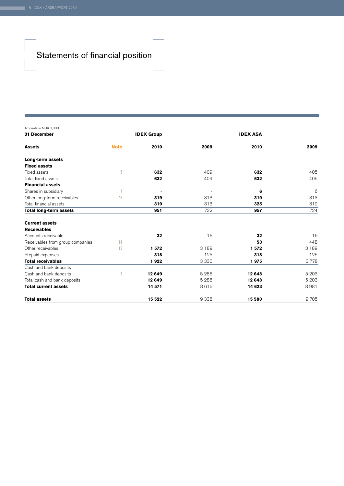# Statements of financial position

| Amounts in NOK 1,000             |                   |        |         |                 |         |
|----------------------------------|-------------------|--------|---------|-----------------|---------|
| 31 December                      | <b>IDEX Group</b> |        |         | <b>IDEX ASA</b> |         |
| <b>Assets</b>                    | <b>Note</b>       | 2010   | 2009    | 2010            | 2009    |
| Long-term assets                 |                   |        |         |                 |         |
| <b>Fixed assets</b>              |                   |        |         |                 |         |
| Fixed assets                     | 5                 | 632    | 409     | 632             | 405     |
| Total fixed assets               |                   | 632    | 409     | 632             | 405     |
| <b>Financial assets</b>          |                   |        |         |                 |         |
| Shares in subsidiary             | 17                |        |         | 6               | 6       |
| Other long-term receivables      | 16                | 319    | 313     | 319             | 313     |
| Total financial assets           |                   | 319    | 313     | 325             | 319     |
| Total long-term assets           |                   | 951    | 722     | 957             | 724     |
| <b>Current assets</b>            |                   |        |         |                 |         |
| <b>Receivables</b>               |                   |        |         |                 |         |
| Accounts receivable              |                   | 32     | 16      | 32              | 16      |
| Receivables from group companies | 14                |        |         | 53              | 448     |
| Other receivables                | 13                | 1572   | 3 1 8 9 | 1572            | 3 1 8 9 |
| Prepaid expenses                 |                   | 318    | 125     | 318             | 125     |
| <b>Total receivables</b>         |                   | 1922   | 3 3 3 0 | 1975            | 3778    |
| Cash and bank deposits           |                   |        |         |                 |         |
| Cash and bank deposits           | 3                 | 12 649 | 5 2 8 6 | 12 648          | 5 2 0 3 |
| Total cash and bank deposits     |                   | 12 649 | 5 2 8 6 | 12 648          | 5 2 0 3 |
| <b>Total current assets</b>      |                   | 14 571 | 8616    | 14 623          | 8981    |
| <b>Total assets</b>              |                   | 15 522 | 9338    | 15 580          | 9705    |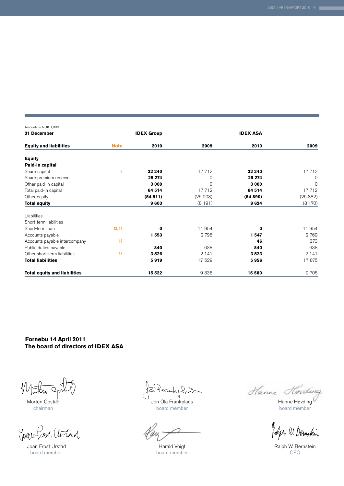| Amounts in NOK 1,000                |             |                   |          |                 |                |  |
|-------------------------------------|-------------|-------------------|----------|-----------------|----------------|--|
| 31 December                         |             | <b>IDEX Group</b> |          | <b>IDEX ASA</b> |                |  |
| <b>Equity and liabilities</b>       | <b>Note</b> | 2010              | 2009     | 2010            | 2009           |  |
| <b>Equity</b>                       |             |                   |          |                 |                |  |
| Paid-in capital                     |             |                   |          |                 |                |  |
| Share capital                       | 8           | 32 240            | 17712    | 32 240          | 17712          |  |
| Share premium reserve               |             | 29 274            | 0        | 29 274          | $\overline{0}$ |  |
| Other paid-in capital               |             | 3 0 0 0           | $\Omega$ | 3 0 0 0         | $\mathbf{0}$   |  |
| Total paid-in capital               |             | 64 514            | 17712    | 64 514          | 17712          |  |
| Other equity                        |             | (54911)           | (25903)  | (54890)         | (25882)        |  |
| <b>Total equity</b>                 |             | 9603              | (8191)   | 9624            | (8170)         |  |
| Liabilities                         |             |                   |          |                 |                |  |
| Short-term liabilities              |             |                   |          |                 |                |  |
| Short-term loan                     | 13, 14      | 0                 | 11954    | 0               | 11954          |  |
| Accounts payable                    |             | 1 5 5 3           | 2796     | 1547            | 2769           |  |
| Accounts payable intercompany       | 14          |                   |          | 46              | 373            |  |
| Public duties payable               |             | 840               | 638      | 840             | 638            |  |
| Other short-term liabilities        | 13          | 3526              | 2 1 4 1  | 3523            | 2 1 4 1        |  |
| <b>Total liabilities</b>            |             | 5919              | 17 529   | 5956            | 17875          |  |
| <b>Total equity and liabilities</b> |             | 15 522            | 9338     | 15 580          | 9705           |  |

**Fornebu 14 April 2011 The board of directors of IDEX ASA**

 $\mathcal W$ 

Joan Good Chotad

U

Morten Opstad Morten Opstad Jon Ola Frankplads Morten Opstad Hanne Høvding Chairman America Hanne Høvding Morten Desember board member board member board member board member board member board member and the street of the board member

board member

Hanne Hording

Rayon W. Bernokin

Joan Frost Urstad Nullet and Marald Voigt Marald Voigt English M. Bernstein<br>board member CEO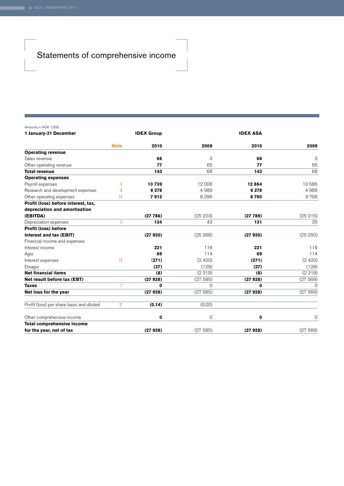# Statements of comprehensive income

#### Amounts in NOK 1,000 **1 January-31 December IDEX Group IDEX ASA Note 2010 2009 2010 2009 Operating revenue** Sales revenue **66** 3 **66** 3 Other operating revenue **77** 65 **77** 65 **77** 65 **Total revenue 143** 68 **143** 68 **Operating expenses** Payroll expenses 4 **13 739** 12 006 **12 864** 10 586 Research and development expenses 6 **6 278** 4 989 **6 278** 4 989 Other operating expenses 14 **7 912** 8 296 **8 790** 9 708 **Profit (loss) before interest, tax, depreciation and amortisation (EBITDA) (27 786)** (25 223) **(27 789)** (25 215) **Depreciation expenses 5 134 131 131** 35 **Profit (loss) before interest and tax (EBIT) (27 920)** (25 266) **(27 920)** (25 250) Financial income and expenses **Interest income 221 221 221 221 221 221 221 116** Agio **69** 114 **69** 114 Interest expenses 13 (**271)** (2 420) **(271)** (2 420) Disagio **(27)** (129) **(27)** (129) **Net financial items (8)** (2 319) **(8)** (2 319) **Net result before tax (EBT) (27 928)** (27 585) **(27 928)** (27 569) **Taxes** 7 **0** 0 **0** 0 **Net loss for the year (27 928)** (27 585) **(27 928)** (27 569) Profit (loss) per share basic and diluted 11 **(0.14)** (0.20) Other comprehensive income **0 0 0 0 0 0 Total comprehensive income for the year, net of tax (27 928)** (27 585) **(27 928)** (27 569)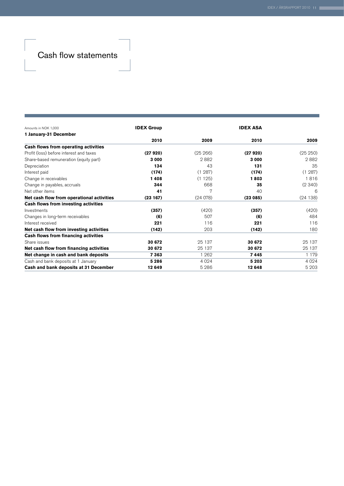# Cash flow statements

| Amounts in NOK 1,000                      | <b>IDEX Group</b> |          | <b>IDEX ASA</b> |          |
|-------------------------------------------|-------------------|----------|-----------------|----------|
| 1 January-31 December                     |                   |          |                 |          |
|                                           | 2010              | 2009     | 2010            | 2009     |
| Cash flows from operating activities      |                   |          |                 |          |
| Profit (loss) before interest and taxes   | (27920)           | (25 266) | (27920)         | (25 250) |
| Share-based remuneration (equity part)    | 3 0 0 0           | 2882     | 3 0 0 0         | 2882     |
| Depreciation                              | 134               | 43       | 131             | 35       |
| Interest paid                             | (174)             | (1287)   | (174)           | (1287)   |
| Change in receivables                     | 1408              | (1125)   | 1803            | 816      |
| Change in payables, accruals              | 344               | 668      | 35              | (2340)   |
| Net other items                           | 41                | 7        | 40              | 6        |
| Net cash flow from operational activities | (23167)           | (24078)  | (23085)         | (24138)  |
| Cash flows from investing activities      |                   |          |                 |          |
| Investments                               | (357)             | (420)    | (357)           | (420)    |
| Changes in long-term receivables          | (6)               | 507      | (6)             | 484      |
| Interest received                         | 221               | 116      | 221             | 116      |
| Net cash flow from investing activities   | (142)             | 203      | (142)           | 180      |
| Cash flows from financing activities      |                   |          |                 |          |
| Share issues                              | 30 672            | 25 137   | 30 672          | 25 137   |
| Net cash flow from financing activities   | 30 672            | 25 137   | 30 672          | 25 137   |
| Net change in cash and bank deposits      | 7363              | 1 262    | 7445            | 1 1 7 9  |
| Cash and bank deposits at 1 January       | 5286              | 4 0 2 4  | 5 2 0 3         | 4 0 2 4  |
| Cash and bank deposits at 31 December     | 12 649            | 5 2 8 6  | 12 648          | 5 2 0 3  |
|                                           |                   |          |                 |          |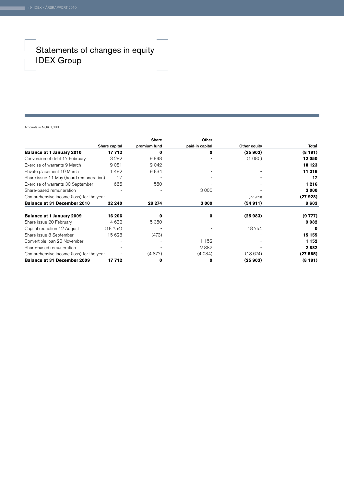# Statements of changes in equity IDEX Group

Amounts in NOK 1,000

|                                          |               | Share        | Other           |              |         |
|------------------------------------------|---------------|--------------|-----------------|--------------|---------|
|                                          | Share capital | premium fund | paid-in capital | Other equity | Total   |
| <b>Balance at 1 January 2010</b>         | 17712         | ŋ            | 0               | (25903)      | (8191)  |
| Conversion of debt 17 February           | 3 2 8 2       | 9848         |                 | (1080)       | 12 050  |
| Exercise of warrants 9 March             | 9081          | 9042         |                 |              | 18 123  |
| Private placement 10 March               | 1482          | 9834         |                 |              | 11 316  |
| Share issue 11 May (board remuneration)  | 17            |              |                 |              | 17      |
| Exercise of warrants 30 September        | 666           | 550          |                 |              | 1216    |
| Share-based remuneration                 |               |              | 3 0 0 0         |              | 3 0 0 0 |
| Comprehensive income (loss) for the year |               |              |                 | (27928)      | (27928) |
| <b>Balance at 31 December 2010</b>       | 32 240        | 29 274       | 3 0 0 0         | (54911)      | 9603    |
| <b>Balance at 1 January 2009</b>         | 16 206        |              | O               | (25983)      | (9777)  |
| Share issue 20 February                  | 4632          | 5 3 5 0      |                 |              | 9982    |
| Capital reduction 12 August              | (18754)       |              |                 | 18754        | 0       |
| Share issue 8 September                  | 15 628        | (473)        |                 |              | 15 155  |
| Convertible Ioan 20 November             |               |              | 1 1 5 2         |              | 1 1 5 2 |
| Share-based remuneration                 |               |              | 2882            |              | 2882    |
| Comprehensive income (loss) for the year |               | (4877)       | (4 034)         | (18674)      | (27585) |
| <b>Balance at 31 December 2009</b>       | 17 712        | 0            | 0               | (25903)      | (8191)  |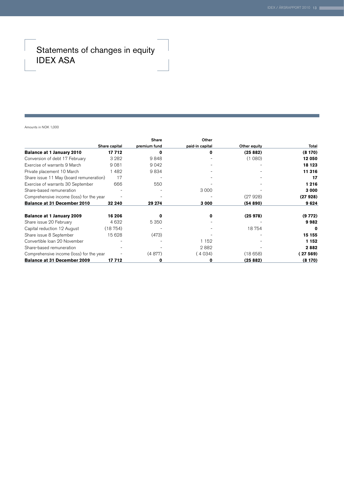# Statements of changes in equity IDEX ASA

Amounts in NOK 1,000

|                                          |               | Share        | Other           |              |          |
|------------------------------------------|---------------|--------------|-----------------|--------------|----------|
|                                          | Share capital | premium fund | paid-in capital | Other equity | Total    |
| <b>Balance at 1 January 2010</b>         | 17712         | ŋ            | 0               | (25882)      | (8170)   |
| Conversion of debt 17 February           | 3 2 8 2       | 9848         |                 | (1080)       | 12 050   |
| Exercise of warrants 9 March             | 9081          | 9042         |                 |              | 18 123   |
| Private placement 10 March               | 1482          | 9834         |                 |              | 11 316   |
| Share issue 11 May (board remuneration)  | 17            |              |                 |              | 17       |
| Exercise of warrants 30 September        | 666           | 550          |                 |              | 1216     |
| Share-based remuneration                 |               |              | 3 0 0 0         |              | 3 0 0 0  |
| Comprehensive income (loss) for the year |               |              |                 | (27928)      | (27928)  |
| <b>Balance at 31 December 2010</b>       | 32 240        | 29 274       | 3 0 0 0         | (54890)      | 9624     |
| <b>Balance at 1 January 2009</b>         | 16 206        |              |                 | (25978)      | (9772)   |
| Share issue 20 February                  | 4632          | 5 3 5 0      |                 |              | 9982     |
| Capital reduction 12 August              | (18754)       |              |                 | 18754        | 0        |
| Share issue 8 September                  | 15 628        | (473)        |                 |              | 15 155   |
| Convertible Ioan 20 November             |               |              | 1 1 5 2         |              | 1 1 5 2  |
| Share-based remuneration                 |               |              | 2882            |              | 2882     |
| Comprehensive income (loss) for the year |               | (4877)       | (4034)          | (18658)      | (27 569) |
| <b>Balance at 31 December 2009</b>       | 17 712        | 0            | 0               | (25882)      | (8170)   |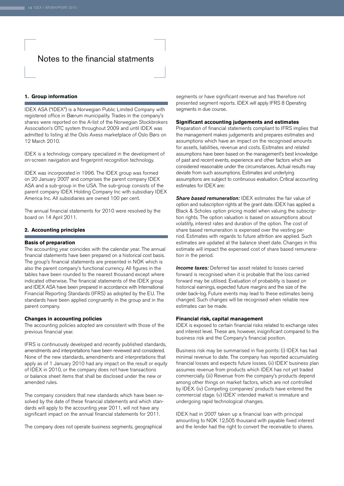### Notes to the financial statments

#### **1. Group information**

IDEX ASA ("IDEX") is a Norwegian Public Limited Company with registered office in Bærum municipality. Trades in the company's shares were reported on the A-list of the Norwegian Stockbrokers Association's OTC system throughout 2009 and until IDEX was admitted to listing at the Oslo Axess marketplace of Oslo Børs on 12 March 2010.

IDEX is a technology company specialized in the development of on-screen navigation and fingerprint recognition technology.

IDEX was incorporated in 1996. The IDEX group was formed on 20 January 2007 and comprises the parent company IDEX ASA and a sub-group in the USA. The sub-group consists of the parent company IDEX Holding Company Inc with subsidiary IDEX America Inc. All subsidiaries are owned 100 per cent.

The annual financial statements for 2010 were resolved by the board on 14 April 2011.

#### **2. Accounting principles**

#### **Basis of preparation**

The accounting year coincides with the calendar year. The annual financial statements have been prepared on a historical cost basis. The group's financial statements are presented in NOK which is also the parent company's functional currency. All figures in the tables have been rounded to the nearest thousand except where indicated otherwise. The financial statements of the IDEX group and IDEX ASA have been prepared in accordance with International Financial Reporting Standards (IFRS) as adopted by the EU. The standards have been applied congruently in the group and in the parent company.

#### **Changes in accounting policies**

The accounting policies adopted are consistent with those of the previous financial year.

IFRS is continuously developed and recently published standards, amendments and interpretations have been reviewed and considered. None of the new standards, amendments and interpretations that apply as of 1 January 2010 had any impact on the result or equity of IDEX in 2010, or the company does not have transactions or balance sheet items that shall be disclosed under the new or amended rules.

The company considers that new standards which have been resolved by the date of these financial statements and which standards will apply to the accounting year 2011, will not have any significant impact on the annual financial statements for 2011.

The company does not operate business segments, geographical

segments or have significant revenue and has therefore not presented segment reports. IDEX will apply IFRS 8 Operating segments in due course.

#### **Significant accounting judgements and estimates**

Preparation of financial statements compliant to IFRS implies that the management makes judgements and prepares esitmates and assumptions which have an impact on the recognised amounts for assets, liabilities, revenue and costs. Esitmates and related assumptions have been based on the management's best knowledge of past and recent events, experience and other factors which are considered reasonable under the circumstances. Actual results may deviate from such assumptions. Estimates and underlying assumptions are subject to continuous evaluation. Critical accounting estimates for IDEX are:

**Share based remuneration: IDEX** estimates the fair value of option and subscription rights at the grant date. IDEX has applied a Black & Scholes option pricing model when valuing the subscription rights. The option valuation is based on assumptions about volatility, interest rates and duration of the option. The cost of share based remuneration is expensed over the vesting period. Estimates with regards to future attrition are applied. Such estimates are updated at the balance sheet date. Changes in this estimate will impact the expensed cost of share based remuneration in the period.

**Income taxes:** Deferred tax asset related to losses carried forward is recognised when it is probable that the loss carried forward may be utilised. Evaluation of probability is based on historical earnings, expected future margins and the size of the order back-log. Future events may lead to these estimates being changed. Such changes will be recognised when reliable new estimates can be made.

#### **Financial risk, capital management**

IDEX is exposed to certain financial risks related to exchange rates and interest level. These are, however, insignificant compared to the business risk and the Company's financial position.

Business risk may be summarised in five points: (i) IDEX has had minimal revenue to date. The company has reported accumulating financial losses and expects future losses. (ii) IDEX' business plan assumes revenue from products which IDEX has not yet traded commercially. (iii) Revenue from the company's products depend among other things on market factors, which are not controlled by IDEX. (iv) Competing companies' products have entered the commercial stage. (v) IDEX' intended market is immature and undergoing rapid technological changes.

IDEX had in 2007 taken up a financial loan with principal amounting to NOK 12,505 thousand with payable fixed interest and the lender had the right to convert the receivable to shares.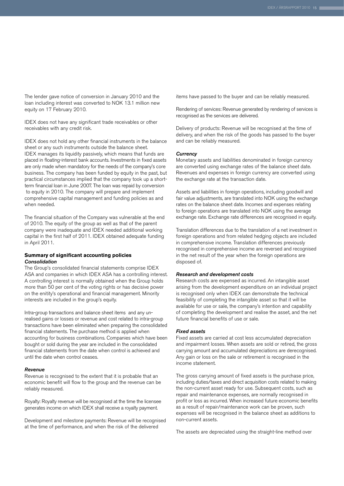The lender gave notice of conversion in January 2010 and the loan including interest was converted to NOK 13.1 million new equity on 17 February 2010.

IDEX does not have any significant trade receivables or other receivables with any credit risk.

IDEX does not hold any other financial instruments in the balance sheet or any such instruments outside the balance sheet. IDEX manages its liquidity passively, which means that funds are placed in floating-interest bank accounts. Investments in fixed assets are only made when mandatory for the needs of the company's core business. The company has been funded by equity in the past, but practical circumstances implied that the company took up a shortterm financial loan in June 2007. The loan was repaid by conversion to equity in 2010. The company will prepare and implement comprehensive capital management and funding policies as and when needed.

The financial situation of the Company was vulnerable at the end of 2010. The equity of the group as well as that of the parent company were inadequate and IDEX needed additional working capital in the first half of 2011. IDEX obtained adequate funding in April 2011.

#### **Summary of significant accounting policies** *Consolidation*

The Group's consolidated financial statements comprise IDEX ASA and companies in which IDEX ASA has a controlling interest. A controlling interest is normally obtained when the Group holds more than 50 per cent of the voting rights or has decisive power on the enitity's operational and financial management. Minority interests are included in the group's equity.

Intra-group transactions and balance sheet items and any unrealised gains or losses or revenue and cost related to intra-group transactions have been eliminated when preparing the consolidated financial statements. The purchase method is applied when accounting for business combinations. Companies which have been bought or sold during the year are included in the consolidated financial statements from the date when control is achieved and until the date when control ceases.

#### *Revenue*

Revenue is recognised to the extent that it is probable that an economic benefit will flow to the group and the revenue can be reliably measured.

Royalty: Royalty revenue will be recognised at the time the licensee generates income on which IDEX shall receive a royalty payment.

Development and milestone payments: Revenue will be recognised at the time of performance, and when the risk of the delivered

items have passed to the buyer and can be reliably measured.

Rendering of services: Revenue generated by rendering of services is recognised as the services are delivered.

Delivery of products: Revenue will be recognised at the time of delivery, and when the risk of the goods has passed to the buyer and can be reliably measured.

#### *Currency*

Monetary assets and liabilities denominated in foreign currency are converted using exchange rates of the balance sheet date. Revenues and expenses in foreign currency are converted using the exchange rate at the transaction date.

Assets and liabilities in foreign operations, including goodwill and fair value adjustments, are translated into NOK using the exchange rates on the balance sheet date. Incomes and expenses relating to foreign operations are translated into NOK using the average exchange rate. Exchange rate differences are recognised in equity.

Translation differences due to the translation of a net investment in foreign operations and from related hedging objects are included in comprehensive income. Translation differences previously recognised in comprehensive income are reversed and recognised in the net result of the year when the foreign operations are disposed of.

#### *Research and development costs*

Research costs are expensed as incurred. An intangible asset arising from the development expenditure on an individual project is recognised only when IDEX can demonstrate the technical feasibility of completing the intangible asset so that it will be available for use or sale, the company's intention and capability of completing the development and realise the asset, and the net future financial benefits of use or sale.

#### *Fixed assets*

Fixed assets are carried at cost less accumulated depreciation and impairment losses. When assets are sold or retired, the gross carrying amount and accumulated depreciations are derecognised. Any gain or loss on the sale or retirement is recognised in the income statement.

The gross carrying amount of fixed assets is the purchase price, including duties/taxes and direct acquisition costs related to making the non-current asset ready for use. Subsequent costs, such as repair and maintenance expenses, are normally recognised in profit or loss as incurred. When increased future economic benefits as a result of repair/maintenance work can be proven, such expenses will be recognised in the balance sheet as additions to non-current assets.

The assets are depreciated using the straight-line method over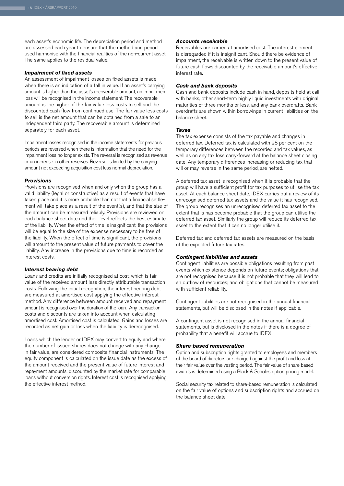each asset's economic life. The depreciation period and method are assessed each year to ensure that the method and period used harmonise with the financial realities of the non-current asset. The same applies to the residual value.

#### *Impairment of fixed assets*

An assessment of impairment losses on fixed assets is made when there is an indication of a fall in value. If an asset's carrying amount is higher than the asset's recoverable amount, an impairment loss will be recognised in the income statement. The recoverable amount is the higher of the fair value less costs to sell and the discounted cash flow from continued use. The fair value less costs to sell is the net amount that can be obtained from a sale to an independent third party. The recoverable amount is determined separately for each asset.

Impairment losses recognised in the income statements for previous periods are reversed when there is information that the need for the impairment loss no longer exists. The reversal is recognised as revenue or an increase in other reserves. Reversal is limited by the carrying amount not exceeding acquisition cost less normal depreciation.

#### *Provisions*

Provisions are recognised when and only when the group has a valid liability (legal or constructive) as a result of events that have taken place and it is more probable than not that a financial settlement will take place as a result of the event(s), and that the size of the amount can be measured reliably. Provisions are reviewed on each balance sheet date and their level reflects the best estimate of the liability. When the effect of time is insignificant, the provisions will be equal to the size of the expense necessary to be free of the liability. When the effect of time is significant, the provisions will amount to the present value of future payments to cover the liability. Any increase in the provisions due to time is recorded as interest costs.

#### *Interest bearing debt*

Loans and credits are initially recognised at cost, which is fair value of the received amount less directly attributable transaction costs. Following the initial recognition, the interest bearing debt are measured at amortised cost applying the effective interest method. Any difference between amount received and repayment amount is recognised over the duration of the loan. Any transaction costs and discounts are taken into account when calculating amortised cost. Amortised cost is calculated. Gains and losses are recorded as net gain or loss when the liability is derecognised.

Loans which the lender or IDEX may convert to equity and where the number of issued shares does not change with any change in fair value, are considered composite financial instruments. The equity component is calculated on the issue date as the excess of the amount received and the present value of future interest and repayment amounts, discounted by the market rate for comparable loans without conversion rights. Interest cost is recognised applying the effective interest method.

#### *Accounts receivable*

Receivables are carried at amortised cost. The interest element is disregarded if it is insignificant. Should there be evidence of impairment, the receivable is written down to the present value of future cash flows discounted by the receivable amount's effective interest rate.

#### *Cash and bank deposits*

Cash and bank deposits include cash in hand, deposits held at call with banks, other short-term highly liquid investments with original maturities of three months or less, and any bank overdrafts. Bank overdrafts are shown within borrowings in current liabilities on the balance sheet.

#### *Taxes*

The tax expense consists of the tax payable and changes in deferred tax. Deferred tax is calculated with 28 per cent on the temporary differences between the recorded and tax values, as well as on any tax loss carry-forward at the balance sheet closing date. Any temporary differences increasing or reducing tax that will or may reverse in the same period, are netted.

A deferred tax asset is recognised when it is probable that the group will have a sufficient profit for tax purposes to utilise the tax asset. At each balance sheet date, IDEX carries out a review of its unrecognised deferred tax assets and the value it has recognised. The group recognises an unrecognised deferred tax asset to the extent that is has become probable that the group can utilise the deferred tax asset. Similarly the group will reduce its deferred tax asset to the extent that it can no longer utilise it.

Deferred tax and deferred tax assets are measured on the basis of the expected future tax rates.

#### *Contingent liabilities and assets*

Contingent liabilities are possible obligations resulting from past events which existence depends on future events; obligations that are not recognised because it is not probable that they will lead to an outflow of resources; and obligations that cannot be measured with sufficient reliability.

Contingent liabilities are not recognised in the annual financial statements, but will be disclosed in the notes if applicable.

A contingent asset is not recognised in the annual financial statements, but is disclosed in the notes if there is a degree of probability that a benefit will accrue to IDEX.

#### *Share-based remuneration*

Option and subscription rights granted to employees and members of the board of directors are charged against the profit and loss at their fair value over the vesting period. The fair value of share based awards is determined using a Black & Scholes option pricing model.

Social security tax related to share-based remuneration is calculated on the fair value of options and subscription rights and accrued on the balance sheet date.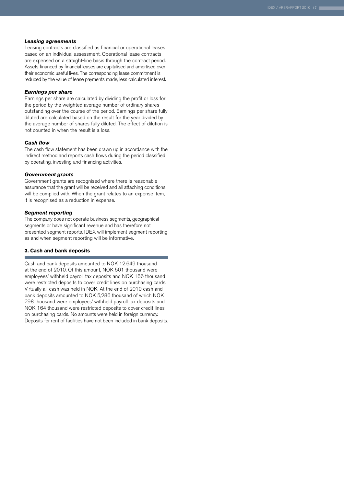#### *Leasing agreements*

Leasing contracts are classified as financial or operational leases based on an individual assessment. Operational lease contracts are expensed on a straight-line basis through the contract period. Assets financed by financial leases are capitalised and amortised over their economic useful lives. The corresponding lease commitment is reduced by the value of lease payments made, less calculated interest.

#### *Earnings per share*

Earnings per share are calculated by dividing the profit or loss for the period by the weighted average number of ordinary shares outstanding over the course of the period. Earnings per share fully diluted are calculated based on the result for the year divided by the average number of shares fully diluted. The effect of dilution is not counted in when the result is a loss.

#### *Cash flow*

The cash flow statement has been drawn up in accordance with the indirect method and reports cash flows during the period classified by operating, investing and financing activities.

#### *Government grants*

Government grants are recognised where there is reasonable assurance that the grant will be received and all attaching conditions will be complied with. When the grant relates to an expense item, it is recognised as a reduction in expense.

#### *Segment reporting*

The company does not operate business segments, geographical segments or have significant revenue and has therefore not presented segment reports. IDEX will implement segment reporting as and when segment reporting will be informative.

#### **3. Cash and bank deposits**

Cash and bank deposits amounted to NOK 12,649 thousand at the end of 2010. Of this amount, NOK 501 thousand were employees' withheld payroll tax deposits and NOK 166 thousand were restricted deposits to cover credit lines on purchasing cards. Virtually all cash was held in NOK. At the end of 2010 cash and bank deposits amounted to NOK 5,286 thousand of which NOK 298 thousand were employees' withheld payroll tax deposits and NOK 164 thousand were restricted deposits to cover credit lines on purchasing cards. No amounts were held in foreign currency. Deposits for rent of facilities have not been included in bank deposits.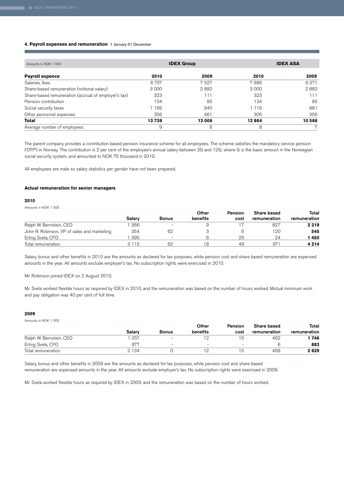#### **4. Payroll expenses and remuneration** 1 January-31 December

| Amounts in NOK 1000                                  |         | <b>IDEX Group</b> |         | <b>IDEX ASA</b> |  |  |
|------------------------------------------------------|---------|-------------------|---------|-----------------|--|--|
| <b>Payroll expence</b>                               | 2010    | 2009              | 2010    | 2009            |  |  |
| Salaries, fees                                       | 8757    | 7527              | 7986    | 6 2 7 1         |  |  |
| Share-based remuneration (notional salary)           | 3 0 0 0 | 2882              | 3 0 0 0 | 2882            |  |  |
| Share-based remuneration (accrual of employer's tax) | 323     | 111               | 323     | 111             |  |  |
| Pension contribution                                 | 134     | 85                | 134     | 85              |  |  |
| Social security taxes                                | 1 1 6 9 | 940               | l 116   | 881             |  |  |
| Other personnel expenses                             | 356     | 461               | 305     | 356             |  |  |
| <b>Total</b>                                         | 13739   | 12 006            | 12864   | 10 586          |  |  |
| Average number of employees                          | 9       | 8                 | 8       | 7               |  |  |

The parent company provides a contribution based pension insurance scheme for all employees. The scheme satisfies the mandatory service pension ('OTP') in Norway. The contribution is 2 per cent of the employee's annual salary between 2G and 12G, where G is the basic amount in the Norwegian social security system, and amounted to NOK 75 thousand in 2010.

All employees are male so salary statistics per gender have not been prepared.

#### **Actual remuneration for senior managers**

#### **2010**

Amounts in NOK 1 000

|                                             |         | <b>Salary</b><br><b>Bonus</b> | Other    | Pension<br>cost | Share based<br>remuneration | Total<br>remuneration |
|---------------------------------------------|---------|-------------------------------|----------|-----------------|-----------------------------|-----------------------|
|                                             |         |                               | benefits |                 |                             |                       |
| Ralph W. Bernstein, CEO                     | 366     | $\overline{\phantom{a}}$      |          |                 | 827                         | 2 2 1 9               |
| John R. Robinson, VP of sales and marketing | 354     | 62                            |          |                 | 120                         | 545                   |
| Erling Svela, CFO                           | 395     | $\sim$                        |          | 25              | 24                          | 450                   |
| Total remuneration                          | 3 1 1 5 | 62                            | 18       | 48              | 971                         | 4 2 1 4               |

Salary, bonus and other benefits in 2010 are the amounts as declared for tax purposes, while pension cost and share based remuneration are expensed amounts in the year. All amounts exclude employer's tax. No subscription rights were exercised in 2010.

Mr. Robinson joined IDEX on 2 August 2010.

Mr. Svela worked flexible hours as required by IDEX in 2010, and the remuneration was based on the number of hours worked. Mutual minimum work and pay obligation was 40 per cent of full time.

#### **2009**

Amounts in NOK 1 000

|                         |               |              | Other    | Pension | Share based  | Total        |
|-------------------------|---------------|--------------|----------|---------|--------------|--------------|
|                         | <b>Salary</b> | <b>Bonus</b> | benefits | cost    | remuneration | remuneration |
| Ralph W. Bernstein, CEO | 257           | $\sim$       |          |         | 462          | ' 746        |
| Erling Svela, CFO       | 877           | -            |          |         |              | 883          |
| Total remuneration      | 2 134         |              |          |         | 468          | 2629         |

Salary, bonus and other benefits in 2009 are the amounts as declared for tax purposes, while pension cost and share based remuneration are expensed amounts in the year. All amounts exclude employer's tax. No subscription rights were exercised in 2009.

Mr. Svela worked flexible hours as required by IDEX in 2009, and the remuneration was based on the number of hours worked.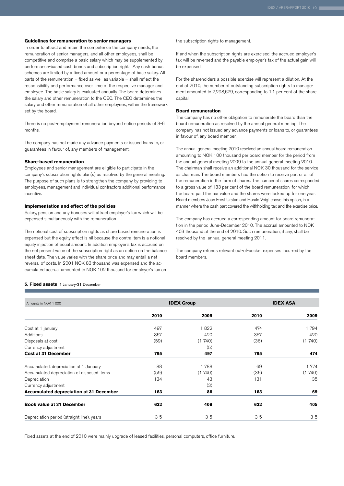#### **Guidelines for remuneration to senior managers**

In order to attract and retain the competence the company needs, the remuneration of senior managers, and all other employees, shall be competitive and comprise a basic salary which may be supplemented by performance-based cash bonus and subscription rights. Any cash bonus schemes are limited by a fixed amount or a percentage of base salary. All parts of the remuneration – fixed as well as variable – shall reflect the responsibility and performance over time of the respective manager and employee. The basic salary is evaluated annually. The board determines the salary and other remuneration to the CEO. The CEO determines the salary and other remuneration of all other employees, within the framework set by the board.

There is no post-employment remuneration beyond notice periods of 3-6 months.

The company has not made any advance payments or issued loans to, or guarantees in favour of, any members of management.

#### **Share-based remuneration**

Employees and senior management are eligible to participate in the company's subscription rights plan(s) as resolved by the general meeting. The purpose of such plans is to strengthen the company by providing to employees, management and individual contractors additional performance incentive.

#### **Implementation and effect of the policies**

Salary, pension and any bonuses will attract employer's tax which will be expensed simultaneously with the remuneration.

The notional cost of subscription rights as share based remuneration is expensed but the equity effect is nil because the contra item is a notional equity injection of equal amount. In addition employer's tax is accrued on the net present value of the subscription right as an option on the balance sheet date. The value varies with the share price and may entail a net reversal of costs. In 2001 NOK 83 thousand was expensed and the accumulated accrual amounted to NOK 102 thousand for employer's tax on

the subscription rights to management.

If and when the subscription rights are exercised, the accrued employer's tax will be reversed and the payable employer's tax of the actual gain will be expensed.

For the shareholders a possible exercise will represent a dilution. At the end of 2010, the number of outstanding subscription rights to management amounted to 2,298,629, corresponding to 1.1 per cent of the share capital.

#### **Board remuneration**

The company has no other obligation to remunerate the board than the board remuneration as resolved by the annual general meeting. The company has not issued any advance payments or loans to, or guarantees in favour of, any board member.

The annual general meeting 2010 resolved an annual board remuneration amounting to NOK 100 thousand per board member for the period from the annual general meeting 2009 to the annual general meeting 2010. The chairman shall receive an additional NOK 30 thousand for the service as chairman. The board members had the option to receive part or all of the remuneration in the form of shares. The number of shares corresponded to a gross value of 133 per cent of the board remuneration, for which the board paid the par value and the shares were locked up for one year. Board members Joan Frost Urstad and Harald Voigt chose this option, in a manner where the cash part covered the withholding tax and the exercise price.

The company has accrued a corresponding amount for board remuneration in the period June-December 2010. The accrual amounted to NOK 403 thousand at the end of 2010. Such remuneration, if any, shall be resolved by the annual general meeting 2011.

The company refunds relevant out-of-pocket expenses incurred by the board members.

#### **5. Fixed assets** 1 January-31 December

| Amounts in NOK 1000                            |       | <b>IDEX Group</b> |       | <b>IDEX ASA</b> |  |
|------------------------------------------------|-------|-------------------|-------|-----------------|--|
|                                                | 2010  | 2009              | 2010  | 2009            |  |
| Cost at 1 january                              | 497   | 822               | 474   | 1 794           |  |
| Additions                                      | 357   | 420               | 357   | 420             |  |
| Disposals at cost                              | (59)  | 740)<br>(1)       | (36)  | 740)<br>(1)     |  |
| Currency adjustment                            |       | (5)               |       |                 |  |
| Cost at 31 December                            | 795   | 497               | 795   | 474             |  |
| Accumulated. depreciation at 1 January         | 88    | 1788              | 69    | 1774            |  |
| Accumulated depreciation of disposed items     | (59)  | (1740)            | (36)  | 740)<br>(1)     |  |
| Depreciation                                   | 134   | 43                | 131   | 35              |  |
| Currency adjustment                            |       | (3)               |       |                 |  |
| <b>Accumulated depreciation at 31 December</b> | 163   | 88                | 163   | 69              |  |
| <b>Book value at 31 December</b>               | 632   | 409               | 632   | 405             |  |
| Depreciation period (straight line), years     | $3-5$ | $3-5$             | $3-5$ | $3-5$           |  |

Fixed assets at the end of 2010 were mainly upgrade of leased facilities, personal computers, office furniture.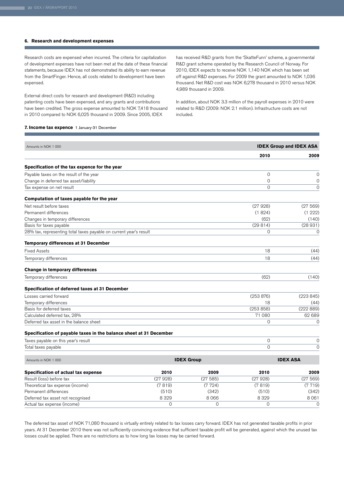#### **6. Research and development expenses**

Research costs are expensed when incurred. The criteria for capitalization of development expenses have not been met at the date of these financial statements, because IDEX has not demonstrated its ability to earn revenue from the SmartFinger. Hence, all costs related to development have been expensed.

External direct costs for research and development (R&D) including patenting costs have been expensed, and any grants and contributions have been credited. The gross expense amounted to NOK 7,418 thousand in 2010 compared to NOK 6,025 thousand in 2009. Since 2005, IDEX

has received R&D grants from the 'SkatteFunn' scheme, a governmental R&D grant scheme operated by the Research Council of Norway. For 2010, IDEX expects to receive NOK 1,140 NOK which has been set off against R&D expenses. For 2009 the grant amounted to NOK 1,036 thousand. Net R&D cost was NOK 6,278 thousand in 2010 versus NOK 4,989 thousand in 2009.

In addition, about NOK 3.3 million of the payroll expenses in 2010 were related to R&D (2009: NOK 2.1 million). Infrastructure costs are not included.

#### **7. Income tax expence** 1 January-31 December

| Amounts in NOK 1 000                                               |         |                   |              | <b>IDEX Group and IDEX ASA</b> |
|--------------------------------------------------------------------|---------|-------------------|--------------|--------------------------------|
|                                                                    |         |                   | 2010         | 2009                           |
| Specification of the tax expence for the year                      |         |                   |              |                                |
| Payable taxes on the result of the year                            |         |                   | $\mathbf 0$  | $\mathsf{O}\xspace$            |
| Change in deferred tax asset/liability                             |         |                   | $\mathbf 0$  | 0                              |
| Tax expense on net result                                          |         |                   | $\Omega$     | $\overline{O}$                 |
| Computation of taxes payable for the year                          |         |                   |              |                                |
| Net result before taxes                                            |         |                   | (27928)      | (27569)                        |
| Permanent differences                                              |         |                   | (1824)       | (1222)                         |
| Changes in temporary differences                                   |         |                   | (62)         | (140)                          |
| Basis for taxes payable                                            |         |                   | (29814)      | (28931)                        |
| 28% tax, representing total taxes payable on current year's result |         |                   | $\Omega$     | $\mathbf{0}$                   |
| Temporary differences at 31 December                               |         |                   |              |                                |
| <b>Fixed Assets</b>                                                |         |                   | 18           | (44)                           |
| Temporary differences                                              |         |                   | 18           | (44)                           |
| Change in temporary differences                                    |         |                   |              |                                |
| Temporary differences                                              |         |                   | (62)         | (140)                          |
| Specification of deferred taxes at 31 December                     |         |                   |              |                                |
| Losses carried forward                                             |         |                   | (253 876)    | (223845)                       |
| Temporary differences                                              |         |                   | 18           | (44)                           |
| Basis for deferred taxes                                           |         |                   | (253 858)    | (222889)                       |
| Calculated deferred tax, 28%                                       |         |                   | 71 080       | 62 689                         |
| Deferred tax asset in the balance sheet                            |         |                   | $\Omega$     | $\mathbf{0}$                   |
| Specification of payable taxes in the balance sheet at 31 December |         |                   |              |                                |
| Taxes payable on this year's result                                |         |                   | $\mathbf 0$  | $\mathbf 0$                    |
| Total taxes payable                                                |         |                   | $\mathbf{0}$ | $\mathbf{0}$                   |
| Amounts in NOK 1 000                                               |         | <b>IDEX Group</b> |              | <b>IDEX ASA</b>                |
| Specification of actual tax expense                                | 2010    | 2009              | 2010         | 2009                           |
| Result (loss) before tax                                           | (27928) | (27585)           | (27928)      | (27569)                        |
| Theoretical tax expense (income)                                   | (7819)  | (7724)            | (7819)       | (7719)                         |
| Permanent differences                                              | (510)   | (342)             | (510)        | (342)                          |
| Deferred tax asset not recognised                                  | 8 3 2 9 | 8066              | 8 3 2 9      | 8 0 6 1                        |

The deferred tax asset of NOK 71,080 thousand is virtually entirely related to tax losses carry forward. IDEX has not generated taxable profits in prior years. At 31 December 2010 there was not sufficiently convincing evidence that sufficient taxable profit will be generated, against which the unused tax losses could be applied. There are no restrictions as to how long tax losses may be carried forward.

Actual tax expense (income) 0 0 0 0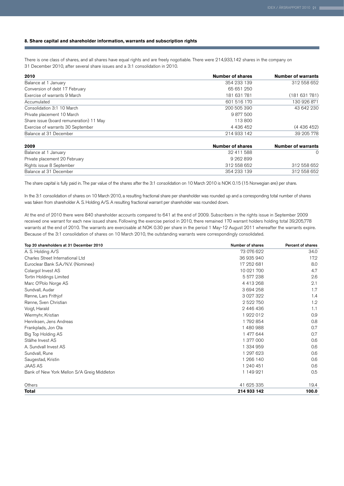#### **8. Share capital and shareholder information, warrants and subscription rights**

There is one class of shares, and all shares have equal rights and are freely nogotiable. There were 214,933,142 shares in the company on 31 December 2010, after several share issues and a 3:1 consolidation in 2010.

| 2010                                    | <b>Number of shares</b> | <b>Number of warrants</b> |
|-----------------------------------------|-------------------------|---------------------------|
| Balance at 1 January                    | 354 233 139             | 312 558 652               |
| Conversion of debt 17 February          | 65 651 250              |                           |
| Exercise of warrants 9 March            | 181 631 781             | (181 631 781)             |
| Accumulated                             | 601 516 170             | 130 926 871               |
| Consolidation 3:1 10 March              | 200 505 390             | 43 642 230                |
| Private placement 10 March              | 9 877 500               |                           |
| Share issue (board remuneration) 11 May | 113 800                 |                           |
| Exercise of warrants 30 September       | 4 4 3 6 4 5 2           | (4436452)                 |
| Balance at 31 December                  | 214 933 142             | 39 205 778                |

| 2009                          | Number of shares | <b>Number of warrants</b> |
|-------------------------------|------------------|---------------------------|
| Balance at 1 January          | 32 411 588       |                           |
| Private placement 20 February | 9 262 899        |                           |
| Rights issue 8 September      | 312 558 652      | 312 558 652               |
| Balance at 31 December        | 354 233 139      | 312 558 652               |

The share capital is fully paid in. The par value of the shares after the 3:1 consolidation on 10 March 2010 is NOK 0.15 (15 Norwegian øre) per share.

In the 3:1 consolidation of shares on 10 March 2010, a resulting fractional share per shareholder was rounded up and a corresponding total number of shares was taken from shareholder A. S. Holding A/S. A resulting fractional warrant per shareholder was rounded down.

At the end of 2010 there were 840 shareholder accounts compared to 641 at the end of 2009. Subscribers in the rights issue in September 2009 received one warrant for each new issued share. Following the exercise period in 2010, there remained 170 warrant holders holding total 39,205,778 warrants at the end of 2010. The warrants are exercisable at NOK 0.30 per share in the period 1 May-12 August 2011 whereafter the warrants expire. Because of the 3:1 consolidation of shares on 10 March 2010, the outstanding warrants were correspondingly consolidated.

| Top 20 shareholders at 31 December 2010     | Number of shares | Percent of shares |
|---------------------------------------------|------------------|-------------------|
| A. S. Holding A/S                           | 73 076 622       | 34.0              |
| Charles Street International Ltd            | 36 935 940       | 17.2              |
| Euroclear Bank S.A./N.V. (Nominee)          | 17 252 681       | 8.0               |
| Colargol Invest AS                          | 10 021 700       | 4.7               |
| Tortin Holdings Limited                     | 5 577 238        | 2.6               |
| Marc O'Polo Norge AS                        | 4 4 1 3 2 6 8    | 2.1               |
| Sundvall, Audar                             | 3694258          | 1.7               |
| Rønne, Lars Frithjof                        | 3 0 27 3 22      | 1.4               |
| Rønne, Sven Christian                       | 2 5 2 7 5 0      | 1.2               |
| Voigt, Harald                               | 2 446 436        | 1.1               |
| Wiermyhr, Kristian                          | 1922012          | 0.9               |
| Henriksen, Jens Andreas                     | 1792854          | 0.8               |
| Frankplads, Jon Ola                         | 1480988          | 0.7               |
| Big Top Holding AS                          | 1 477 644        | 0.7               |
| Stålhe Invest AS                            | 1 377 000        | 0.6               |
| A. Sundvall Invest AS                       | 1 334 959        | 0.6               |
| Sundvall, Rune                              | 1 297 623        | 0.6               |
| Saugestad, Kristin                          | 1 266 140        | 0.6               |
| <b>JAAS AS</b>                              | 1 240 451        | 0.6               |
| Bank of New York Mellon S/A Greig Middleton | 1149921          | 0.5               |
| Others                                      | 41 625 335       | 19.4              |
| Total                                       | 214 933 142      | 100.0             |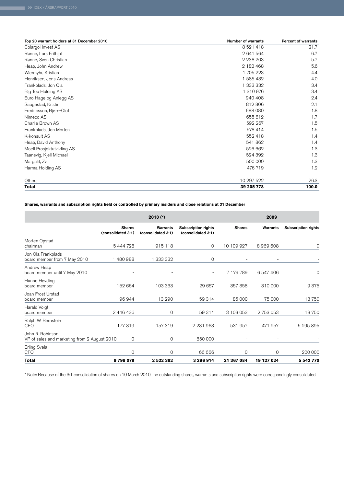| Top 20 warrant holders at 31 December 2010 | <b>Number of warrants</b> | <b>Percent of warrants</b> |
|--------------------------------------------|---------------------------|----------------------------|
| Colargol Invest AS                         | 8521418                   | 21.7                       |
| Rønne, Lars Frithjof                       | 2641564                   | 6.7                        |
| Rønne, Sven Christian                      | 2 2 3 2 2 0 3             | 5.7                        |
| Heap, John Andrew                          | 2 182 468                 | 5.6                        |
| Wiermyhr, Kristian                         | 1705223                   | 4.4                        |
| Henriksen, Jens Andreas                    | 1 585 432                 | 4.0                        |
| Frankplads, Jon Ola                        | 1 333 332                 | 3.4                        |
| Big Top Holding AS                         | 1 310 976                 | 3.4                        |
| Euro Hage og Anlegg AS                     | 940 408                   | 2.4                        |
| Saugestad, Kristin                         | 812806                    | 2.1                        |
| Fredricsson, Bjørn-Olof                    | 688080                    | 1.8                        |
| Nimeco AS                                  | 655 612                   | 1.7                        |
| Charlie Brown AS                           | 592 267                   | 1.5                        |
| Frankplads, Jon Morten                     | 578 414                   | 1.5                        |
| K-konsult AS                               | 552 418                   | 1.4                        |
| Heap, David Anthony                        | 541862                    | 1.4                        |
| Moell Prosjektutvikling AS                 | 526 662                   | 1.3                        |
| Taanevig, Kjell Michael                    | 524 392                   | 1.3                        |
| Margalit, Zvi                              | 500 000                   | 1.3                        |
| Harma Holding AS                           | 476 719                   | 1.2                        |
| Others                                     | 10 297 522                | 26.3                       |
| <b>Total</b>                               | 39 205 778                | 100.0                      |

#### **Shares, warrants and subscription rights held or controlled by primary insiders and close relations at 31 December**

|                                                                  | 2010 $(*)$                          |                                |                                                  | 2009           |            |                            |
|------------------------------------------------------------------|-------------------------------------|--------------------------------|--------------------------------------------------|----------------|------------|----------------------------|
|                                                                  | <b>Shares</b><br>(consolidated 3:1) | Warrants<br>(consolidated 3:1) | <b>Subscription rights</b><br>(consolidated 3:1) | <b>Shares</b>  | Warrants   | <b>Subscription rights</b> |
| Morten Opstad<br>chairman                                        | 5 444 728                           | 915 118                        | 0                                                | 10 109 927     | 8969608    | 0                          |
| Jon Ola Frankplads<br>board member from 7 May 2010               | 1480988                             | 333 332                        | $\circ$                                          | $\overline{a}$ |            |                            |
| Andrew Heap<br>board member until 7 May 2010                     |                                     |                                | $\sim$                                           | 7 179 789      | 6547406    | $\mathbf 0$                |
| Hanne Høvding<br>board member                                    | 152 664                             | 103 333                        | 29 657                                           | 357 358        | 310 000    | 9 3 7 5                    |
| Joan Frost Urstad<br>board member                                | 96944                               | 13 290                         | 59 314                                           | 85 000         | 75 000     | 18750                      |
| Harald Voigt<br>board member                                     | 2446436                             | 0                              | 59 314                                           | 3 103 053      | 2753053    | 18750                      |
| Ralph W. Bernstein<br>CEO                                        | 177 319                             | 157 319                        | 2 2 3 1 9 6 3                                    | 531 957        | 471 957    | 5 295 895                  |
| John R. Robinson<br>VP of sales and marketing from 2 August 2010 | $\mathbf 0$                         | 0                              | 850 000                                          |                |            |                            |
| Erling Svela<br><b>CFO</b>                                       | $\mathbf{0}$                        | $\mathbf{O}$                   | 66 666                                           | $\mathbf{0}$   | $\circ$    | 200 000                    |
| <b>Total</b>                                                     | 9799079                             | 2 522 392                      | 3 296 914                                        | 21 367 084     | 19 127 024 | 5 542 770                  |

\* Note: Because of the 3:1 consolidation of shares on 10 March 2010, the outstanding shares, warrants and subscription rights were correspondingly consolidated.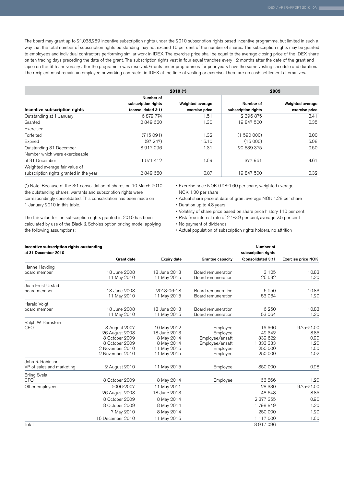The board may grant up to 21,038,289 incentive subscription rights under the 2010 subscription rights based incentive programme, but limited in such a way that the total number of subscription rights outstanding may not exceed 10 per cent of the number of shares. The subscription rights may be granted to employees and individual contractors performing similar work in IDEX. The exercise price shall be equal to the average closing price of the IDEX share on ten trading days preceding the date of the grant. The subscription rights vest in four equal tranches every 12 months after the date of the grant and lapse on the fifth anniversary after the programme was resolved. Grants under programmes for prior years have the same vesting shcedule and duration. The recipient must remain an employee or working contractor in IDEX at the time of vesting or exercise. There are no cash settlement alternatives.

|                                         | $2010 (*)$          |                  | 2009                |                  |
|-----------------------------------------|---------------------|------------------|---------------------|------------------|
|                                         | Number of           |                  |                     |                  |
|                                         | subscription rights | Weighted average | Number of           | Weighted average |
| Incentive subscription rights           | (consolidated 3:1)  | exercise price   | subscription rights | exercise price   |
| Outstanding at 1 January                | 6 879 774           | 1.51             | 2 396 875           | 3.41             |
| Granted                                 | 2849660             | 1.30             | 19 847 500          | 0.35             |
| Exercised                               |                     |                  |                     |                  |
| Forfeited                               | (715091)            | 1.32             | (1590000)           | 3.00             |
| Expired                                 | (97247)             | 15.10            | (15000)             | 5.08             |
| Outstanding 31 December                 | 8917096             | 1.31             | 20 639 375          | 0.50             |
| Number which were exerciseable          |                     |                  |                     |                  |
| at 31 December                          | 571412              | 1.69             | 377 961             | 4.61             |
| Weighted average fair value of          |                     |                  |                     |                  |
| subscription rights granted in the year | 2849660             | 0.87             | 19 847 500          | 0.32             |

(\*) Note: Because of the 3:1 consolidation of shares on 10 March 2010, the outstanding shares, warrants and subscription rights were correspondingly consolidated. This consolidation has been made on 1 January 2010 in this table.

The fair value for the subscription rights granted in 2010 has been calculated by use of the Black & Scholes option pricing model applying the following assumptions:

- Exercise price NOK 0.98-1.60 per share, weighted average NOK 1.30 per share
- Actual share price at date of grant average NOK 1.28 per share
- Duration up to 4.8 years
- Volatility of share price based on share price history 110 per cent
- Risk free interest rate of 2.1-2.9 per cent, average 2.5 per cent
- No payment of dividends
- Actual population of subscription rights holders, no attrition

| Incentive subscription rights oustanding | Number of |
|------------------------------------------|-----------|
|                                          |           |

| at 31 December 2010       |                   |                    |                         | subscription rights |                           |
|---------------------------|-------------------|--------------------|-------------------------|---------------------|---------------------------|
|                           | <b>Grant date</b> | <b>Expiry date</b> | <b>Grantee capacity</b> | (consolidated 3:1)  | <b>Exercise price NOK</b> |
| Hanne Høvding             |                   |                    |                         |                     |                           |
| board member              | 18 June 2008      | 18 June 2013       | Board remuneration      | 3 1 2 5             | 10.83                     |
|                           | 11 May 2010       | 11 May 2015        | Board remuneration      | 26 532              | 1.20                      |
| Joan Frost Urstad         |                   |                    |                         |                     |                           |
| board member              | 18 June 2008      | 2013-06-18         | Board remuneration      | 6 2 5 0             | 10.83                     |
|                           | 11 May 2010       | 11 May 2015        | Board remuneration      | 53 064              | 1.20                      |
| Harald Voigt              |                   |                    |                         |                     |                           |
| board member              | 18 June 2008      | 18 June 2013       | Board remuneration      | 6 2 5 0             | 10.83                     |
|                           | 11 May 2010       | 11 May 2015        | Board remuneration      | 53 064              | 1.20                      |
| Ralph W. Bernstein        |                   |                    |                         |                     |                           |
| CEO                       | 8 August 2007     | 10 May 2012        | Employee                | 16 666              | 9.75-21.00                |
|                           | 26 August 2008    | 18 June 2013       | Employee                | 42 342              | 8.85                      |
|                           | 8 October 2009    | 8 May 2014         | Employee/ansatt         | 339 622             | 0.90                      |
|                           | 8 October 2009    | 8 May 2014         | Employee/ansatt         | 1 333 333           | 1.20                      |
|                           | 2 November 2010   | 11 May 2015        | Employee                | 250 000             | 1.50                      |
|                           | 2 November 2010   | 11 May 2015        | Employee                | 250 000             | 1.02                      |
| John R. Robinson          |                   |                    |                         |                     |                           |
| VP of sales and marketing | 2 August 2010     | 11 May 2015        | Employee                | 850 000             | 0.98                      |
| Erling Svela              |                   |                    |                         |                     |                           |
| <b>CFO</b>                | 8 October 2009    | 8 May 2014         | Employee                | 66 666              | 1.20                      |
| Other employees           | 2006-2007         | 11 May 2011        |                         | 28 330              | 9.75-21.00                |
|                           | 26 August 2008    | 18 June 2013       |                         | 48 648              | 8.85                      |
|                           | 8 October 2009    | 8 May 2014         |                         | 2 377 355           | 0.90                      |
|                           | 8 October 2009    | 8 May 2014         |                         | 1798849             | 1.20                      |
|                           | 7 May 2010        | 8 May 2014         |                         | 250 000             | 1.20                      |
|                           | 16 December 2010  | 11 May 2015        |                         | 1 117 000           | 1.60                      |
| Total                     |                   |                    |                         | 8917096             |                           |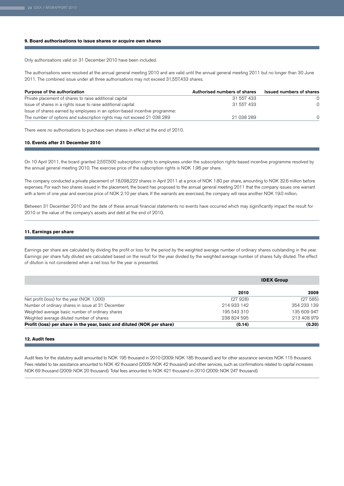#### **9. Board authorisations to issue shares or acquire own shares**

Only authorisations valid on 31 December 2010 have been included.

The authorisations were resolved at the annual general meeting 2010 and are valid until the annual general meeting 2011 but no longer than 30 June 2011. The combined issue under all three authorisations may not exceed 31,557,433 shares.

| Purpose of the authorization                                                | Authorised numbers of shares | Issued numbers of shares |
|-----------------------------------------------------------------------------|------------------------------|--------------------------|
| Private placement of shares to raise additional capital                     | 31 557 433                   | $\Omega$                 |
| Issue of shares in a rights issue to raise additional capital               | 31 557 433                   | $\Omega$                 |
| Issue of shares earned by employees in an option-based incentive programme: |                              |                          |
| The number of options and subscription rights may not exceed 21 038 289     | 21 038 289                   |                          |

There were no authorisations to purchase own shares in effect at the end of 2010.

#### **10. Events after 31 December 2010**

On 10 April 2011, the board granted 2,557,500 subscription rights to employees under the subscription rights-based incentive programme resolved by the annual general meeting 2010. The exercise price of the subscription rights is NOK 1.96 per share.

The company conducted a private placement of 18,098,222 shares in April 2011 at a price of NOK 1.80 per share, amounting to NOK 32.6 million before expenses. For each two shares issued in the placement, the board has proposed to the annual general meeting 2011 that the company issues one warrant with a term of one year and exercise price of NOK 2.10 per share. If the warrants are exercised, the company will raise another NOK 19.0 million.

Between 31 December 2010 and the date of these annual financial statements no events have occurred which may siginificantly impact the result for 2010 or the value of the company's assets and debt at the end of 2010.

#### **11. Earnings per share**

Earnings per share are calculated by dividing the profit or loss for the period by the weighted average number of ordinary shares outstanding in the year. Earnings per share fully diluted are calculated based on the result for the year divided by the weighted average number of shares fully diluted. The effect of dilution is not considered when a net loss for the year is presented.

|                                                                        | <b>IDEX Group</b> |             |
|------------------------------------------------------------------------|-------------------|-------------|
|                                                                        | 2010              | 2009        |
| Net profit (loss) for the year (NOK 1,000)                             | (27928)           | (27585)     |
| Number of ordinary shares in issue at 31 December                      | 214 933 142       | 354 233 139 |
| Weighted average basic number of ordinary shares                       | 195 543 310       | 135 609 947 |
| Weighted average diluted number of shares                              | 238 824 595       | 213 408 979 |
| Profit (loss) per share in the year, basic and diluted (NOK per share) | (0.14)            | (0.20)      |

#### **12. Audit fees**

Audit fees for the statutory audit amounted to NOK 195 thousand in 2010 (2009: NOK 185 thousand) and for other assurance services NOK 115 thousand. Fees related to tax assistance amounted to NOK 42 thousand (2009: NOK 42 thousand) and other services, such as confirmations related to capital increases NOK 69 thousand (2009: NOK 20 thousand). Total fees amounted to NOK 421 thousand in 2010 (2009: NOK 247 thousand).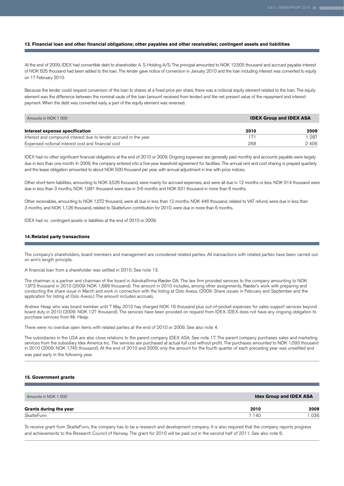#### **13. Financial loan and other financial obligations; other payables and other receivables; contingent assets and liabilities**

At the end of 2009, IDEX had convertible debt to shareholder A. S. Holding A/S. The principal amounted to NOK 12,505 thousand and accrued payable interest of NOK 625 thousand had been added to the loan. The lender gave notice of conversion in January 2010 and the loan including interest was converted to equity on 17 February 2010.

Because the lender could request conversion of the loan to shares at a fixed price per share, there was a notional equity element related to the loan. The equity element was the difference between the nominal vaule of the loan (amount received from lender) and the net present value of the repayment and interest payment. When the debt was converted early, a part of the equity element was reversed.

| Amounts in NOK 1000                                              |      | <b>IDEX Group and IDEX ASA</b> |
|------------------------------------------------------------------|------|--------------------------------|
| Interest expense specification                                   | 2010 | 2009                           |
| Interest and compound interest due to lender accrued in the year | 171  | 287                            |
| Expensed notional interest cost and financial cost               | 268  | 2406                           |

IDEX had no other significant financial obligations at the end of 2010 or 2009. Ongoing expenses are generally paid monthly and accounts payable were largely due in less than one month. In 2009, the company entered into a five-year leasehold agreement for facilities. The annual rent and cost sharing is prepaid quarterly and the lease obligation amounted to about NOK 500 thousand per year, with annual adjustment in line with price indices.

Other short-term liabilities, amounting to NOK 3,526 thousand, were mainly for accrued expenses, and were all due in 12 months or less. NOK 914 thousand were due in less than 3 months, NOK 1,981 thousand were due in 3-6 months and NOK 631 thousand in more than 6 months.

Other receivables, amounting to NOK 1,572 thousand, were all due in less than 12 months. NOK 446 thousand, related to VAT refund, were due in less than 3 months, and NOK 1,126 thousand, related to Skattefunn contribution for 2010, were due in more than 6 months.

IDEX had no contingent assets or liabilities at the end of 2010 or 2009.

#### **14.Related party transactions**

The company's shareholders, board members and management are considered related parties. All transactions with related parties have been carried out on arm's length principle.

A financial loan from a shareholder was settled in 2010. See note 13.

The chairman is a partner and chairman of the board in Advokatfirma Ræder DA. The law firm provided services to the company amounting to NOK 1,973 thousand in 2010 (2009: NOK 1,686 thousand). The amount in 2010 includes, among other assignments, Ræder's work with preparing and conducting the share issue in March and work in connection with the listing at Oslo Axess. (2009: Share issues in February and September and the application for listing at Oslo Axess.) The amount includes accruals.

Andrew Heap who was board member until 7 May 2010 has charged NOK 16 thousand plus out-of-pocket expenses for sales support services beyond board duty in 2010 (2009: NOK 127 thousand). The services have been provided on request from IDEX. IDEX does not have any ongoing obligation to purchase services from Mr. Heap.

There were no overdue open items with related parties at the end of 2010 or 2009. See also note 4.

The subsidiaries in the USA are also close relations to the parent company IDEX ASA. See note 17. The parent company purchases sales and marketing services from the subsidiary Idex America Inc. The services are purchased at actual full cost without profit. The purchases amounted to NOK 1,093 thousand in 2010 (2009: NOK 1,745 thousand). At the end of 2010 and 2009, only the amount for the fourth quarter of each preceding year was unsettled and was paid early in the following year.

#### **15. Government grants**

| Amounts in NOK 1000    | <b>Idex Group and IDEX ASA</b> |      |
|------------------------|--------------------------------|------|
| Grants during the year | 2010                           | 2009 |
| <b>SkatteFunn</b>      | 1140                           | 1036 |

To receive grant from SkatteFunn, the company has to be a research and development company. It is also required that the company reports progress and achievements to the Research Council of Norway. The grant for 2010 will be paid out in the second half of 2011. See also note 6.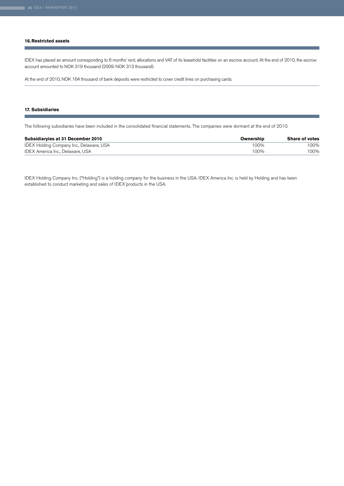#### **16.Restricted assets**

IDEX has placed an amount corresponding to 6 months' rent, allocations and VAT of its leasehold facilities on an escrow account. At the end of 2010, the escrow account amounted to NOK 319 thousand (2009: NOK 313 thousand).

At the end of 2010, NOK 164 thousand of bank deposits were restricted to cover credit lines on purchasing cards.

#### **17. Subsidiaries**

The following subsidiaries have been included in the consolidated financial statements. The companies were dormant at the end of 2010.

| Subsidiaryies at 31 December 2010        | Ownership | <b>Share of votes</b> |  |
|------------------------------------------|-----------|-----------------------|--|
| IDEX Holding Company Inc., Delaware, USA | 100%      | 100%                  |  |
| <b>IDEX America Inc., Delaware, USA</b>  | 100%      | 100%                  |  |

IDEX Holding Company Inc. ("Holding") is a holding company for the business in the USA. IDEX America Inc. is held by Holding and has been established to conduct marketing and sales of IDEX`products in the USA.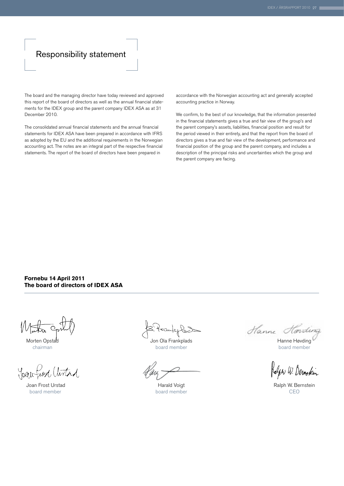### Responsibility statement

The board and the managing director have today reviewed and approved this report of the board of directors as well as the annual financial statements for the IDEX group and the parent company IDEX ASA as at 31 December 2010.

The consolidated annual financial statements and the annual financial statements for IDEX ASA have been prepared in accordance with IFRS as adopted by the EU and the additional requirements in the Norwegian accounting act. The notes are an integral part of the respective financial statements. The report of the board of directors have been prepared in

accordance with the Norwegian accounting act and generally accepted accounting practice in Norway.

We confirm, to the best of our knowledge, that the information presented in the financial statements gives a true and fair view of the group's and the parent company's assets, liabilities, financial position and result for the period viewed in their entirety, and that the report from the board of directors gives a true and fair view of the development, performance and financial position of the group and the parent company, and includes a description of the principal risks and uncertainties which the group and the parent company are facing.

**Fornebu 14 April 2011 The board of directors of IDEX ASA**

Joan Frost Clinton

board member board member CEO

Morten Opstad Morten Designed Jon Ola Frankplads And Hanne Høvding Hanne Høvding (Green Hanne Høvding Morten) chairman board member board member

Hanne Hording

Rayn W. Dermokin

Joan Frost Urstad Harald Voigt Ralph W. Bernstein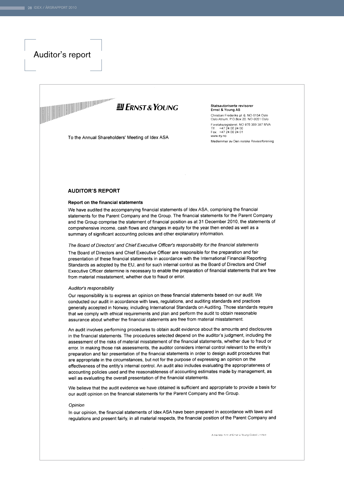## Auditor's report

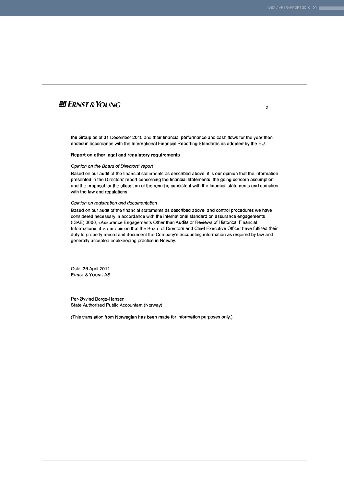### **JI ERNST & YOUNG**

the Group as of 31 December 2010 and their financial performance and cash flows for the year then ended in accordance with the International Financial Reporting Standards as adopted by the EU.

IDEX / Årsrapport 2010 29

 $\overline{2}$ 

#### Report on other legal and regulatory requirements

#### Opinion on the Board of Directors' report

Based on our audit of the financial statements as described above, it is our opinion that the information presented in the Directors' report concerning the financial statements, the going concern assumption and the proposal for the allocation of the result is consistent with the financial statements and complies with the law and regulations.

#### Opinion on registration and documentation

Based on our audit of the financial statements as described above, and control procedures we have considered necessary in accordance with the international standard on assurance engagements (ISAE) 3000, «Assurance Engagements Other than Audits or Reviews of Historical Financial Information», it is our opinion that the Board of Directors and Chief Executive Officer have fulfilled their duty to properly record and document the Company's accounting information as required by law and generally accepted bookkeeping practice in Norway.

Oslo, 26 April 2011 ERNST & YOUNG AS

Per-Øyvind Borge-Hansen State Authorised Public Accountant (Norway)

(This translation from Norwegian has been made for information purposes only.)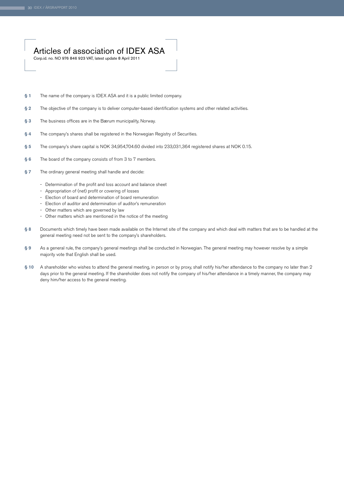# Articles of association of IDEX ASA

Corp.id. no. NO 976 846 923 VAT, latest update 8 April 2011

- **§ 1** The name of the company is IDEX ASA and it is a public limited company.
- **§ 2** The objective of the company is to deliver computer-based identification systems and other related activities.
- § 3 The business offices are in the Bærum municipality, Norway.
- § 4 The company's shares shall be registered in the Norwegian Registry of Securities.
- **§ 5** The company's share capital is NOK 34,954,704.60 divided into 233,031,364 registered shares at NOK 0.15.
- **§ 6** The board of the company consists of from 3 to 7 members.
- § 7 The ordinary general meeting shall handle and decide:
	- Determination of the profit and loss account and balance sheet
	- Appropriation of (net) profit or covering of losses
	- Election of board and determination of board remuneration
	- Election of auditor and determination of auditor's remuneration
	- Other matters which are governed by law
	- Other matters which are mentioned in the notice of the meeting
- **§ 8** Documents which timely have been made available on the Internet site of the company and which deal with matters that are to be handled at the general meeting need not be sent to the company's shareholders.
- § 9 As a general rule, the company's general meetings shall be conducted in Norwegian. The general meeting may however resolve by a simple majority vote that English shall be used.
- § 10 A shareholder who wishes to attend the general meeting, in person or by proxy, shall notify his/her attendance to the company no later than 2 days prior to the general meeting. If the shareholder does not notify the company of his/her attendance in a timely manner, the company may deny him/her access to the general meeting.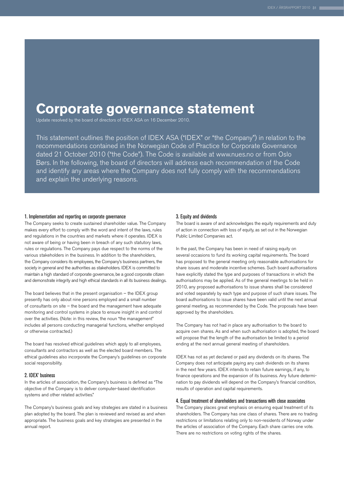# **Corporate governance statement**

Update resolved by the board of directors of IDEX ASA on 16 December 2010.

This statement outlines the position of IDEX ASA ("IDEX" or "the Company") in relation to the recommendations contained in the Norwegian Code of Practice for Corporate Governance dated 21 October 2010 ("the Code"). The Code is available at www.nues.no or from Oslo Børs. In the following, the board of directors will address each recommendation of the Code and identify any areas where the Company does not fully comply with the recommendations and explain the underlying reasons.

#### 1. Implementation and reporting on corporate governance

The Company seeks to create sustained shareholder value. The Company makes every effort to comply with the word and intent of the laws, rules and regulations in the countries and markets where it operates. IDEX is not aware of being or having been in breach of any such statutory laws, rules or regulations. The Company pays due respect to the norms of the various stakeholders in the business. In addition to the shareholders, the Company considers its employees, the Company's business partners, the society in general and the authorities as stakeholders. IDEX is committed to maintain a high standard of corporate governance, be a good corporate citizen and demonstrate integrity and high ethical standards in all its business dealings.

The board believes that in the present organisation  $-$  the IDEX group presently has only about nine persons employed and a small number of consultants on site – the board and the management have adequate monitoring and control systems in place to ensure insight in and control over the activities. (Note: in this review, the noun "the management" includes all persons conducting managerial functions, whether employed or otherwise contracted.)

The board has resolved ethical guidelines which apply to all employees, consultants and contractors as well as the elected board members. The ethical guidelines also incorporate the Company's guidelines on corporate social responsibility.

#### 2. IDEX' business

In the articles of association, the Company's business is defined as "The objective of the Company is to deliver computer-based identification systems and other related activities."

The Company's business goals and key strategies are stated in a business plan adopted by the board. The plan is reviewed and revised as and when appropriate. The business goals and key strategies are presented in the annual report.

#### 3. Equity and dividends

The board is aware of and acknowledges the equity requirements and duty of action in connection with loss of equity, as set out in the Norwegian Public Limited Companies act.

In the past, the Company has been in need of raising equity on several occasions to fund its working capital requirements. The board has proposed to the general meeting only reasonable authorisations for share issues and moderate incentive schemes. Such board authorisations have explicitly stated the type and purposes of transactions in which the authorisations may be applied. As of the general meetings to be held in 2010, any proposed authorisations to issue shares shall be considered and voted separately by each type and purpose of such share issues. The board authorisations to issue shares have been valid until the next annual general meeting, as recommended by the Code. The proposals have been approved by the shareholders.

The Company has not had in place any authorisation to the board to acquire own shares. As and when such authorisation is adopted, the board will propose that the length of the authorisation be limited to a period ending at the next annual general meeting of shareholders.

IDEX has not as yet declared or paid any dividends on its shares. The Company does not anticipate paying any cash dividends on its shares in the next few years. IDEX intends to retain future earnings, if any, to finance operations and the expansion of its business. Any future determination to pay dividends will depend on the Company's financial condition, results of operation and capital requirements.

#### 4. Equal treatment of shareholders and transactions with close associates

The Company places great emphasis on ensuring equal treatment of its shareholders. The Company has one class of shares. There are no trading restrictions or limitations relating only to non-residents of Norway under the articles of association of the Company. Each share carries one vote. There are no restrictions on voting rights of the shares.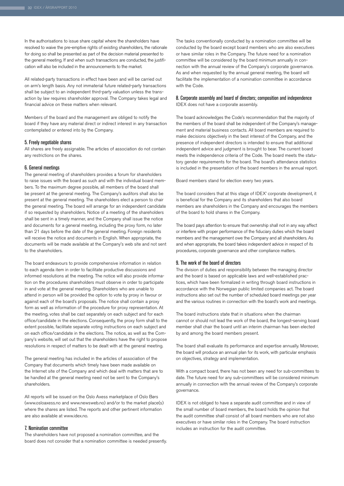In the authorisations to issue share capital where the shareholders have resolved to waive the pre-emptive rights of existing shareholders, the rationale for doing so shall be presented as part of the decision material presented to the general meeting. If and when such transactions are conducted, the justification will also be included in the announcements to the market.

All related-party transactions in effect have been and will be carried out on arm's length basis. Any not immaterial future related-party transactions shall be subject to an independent third-party valuation unless the transaction by law requires shareholder approval. The Company takes legal and financial advice on these matters when relevant.

Members of the board and the management are obliged to notify the board if they have any material direct or indirect interest in any transaction contemplated or entered into by the Company.

#### 5. Freely negotiable shares

All shares are freely assignable. The articles of association do not contain any restrictions on the shares.

#### 6. General meetings

The general meeting of shareholders provides a forum for shareholders to raise issues with the board as such and with the individual board members. To the maximum degree possible, all members of the board shall be present at the general meeting. The Company's auditors shall also be present at the general meeting. The shareholders elect a person to chair the general meeting. The board will arrange for an independent candidate if so requested by shareholders. Notice of a meeting of the shareholders shall be sent in a timely manner, and the Company shall issue the notice and documents for a general meeting, including the proxy form, no later than 21 days before the date of the general meeting. Foreign residents will receive the notice and documents in English. When appropriate, the documents will be made available at the Company's web site and not sent to the shareholders.

The board endeavours to provide comprehensive information in relation to each agenda item in order to facilitate productive discussions and informed resolutions at the meeting. The notice will also provide information on the procedures shareholders must observe in order to participate in and vote at the general meeting. Shareholders who are unable to attend in person will be provided the option to vote by proxy in favour or against each of the board's proposals. The notice shall contain a proxy form as well as information of the procedure for proxy representation. At the meeting, votes shall be cast separately on each subject and for each office/candidate in the elections. Consequently, the proxy form shall to the extent possible, facilitate separate voting instructions on each subject and on each office/candidate in the elections. The notice, as well as the Company's website, will set out that the shareholders have the right to propose resolutions in respect of matters to be dealt with at the general meeting.

The general meeting has included in the articles of association of the Company that documents which timely have been made available on the Internet site of the Company and which deal with matters that are to be handled at the general meeting need not be sent to the Company's shareholders.

All reports will be issued on the Oslo Axess marketplace of Oslo Børs (www.osloaxess.no and www.newsweb.no) and/or to the market place(s) where the shares are listed. The reports and other pertinent information are also available at www.idex.no.

#### 7. Nomination committee

The shareholders have not proposed a nomination committee, and the board does not consider that a nomination committee is needed presently. The tasks conventionally conducted by a nomination committee will be conducted by the board except board members who are also executives or have similar roles in the Company. The future need for a nomination committee will be considered by the board minimum annually in connection with the annual review of the Company's corporate governance. As and when requested by the annual general meeting, the board will facilitate the implementation of a nomination committee in accordance with the Code.

#### 8. Corporate assembly and board of directors; composition and independence IDEX does not have a corporate assembly.

The board acknowledges the Code's recommendation that the majority of the members of the board shall be independent of the Company's management and material business contacts. All board members are required to make decisions objectively in the best interest of the Company, and the presence of independent directors is intended to ensure that additional independent advice and judgment is brought to bear. The current board meets the independence criteria of the Code. The board meets the statutory gender requirements for the board. The board's attendance statistics is included in the presentation of the board members in the annual report.

Board members stand for election every two years.

The board considers that at this stage of IDEX' corporate development, it is beneficial for the Company and its shareholders that also board members are shareholders in the Company and encourages the members of the board to hold shares in the Company.

The board pays attention to ensure that ownership shall not in any way affect or interfere with proper performance of the fiduciary duties which the board members and the management owe the Company and all shareholders. As and when appropriate, the board takes independent advice in respect of its procedures, corporate governance and other compliance matters.

#### 9. The work of the board of directors

The division of duties and responsibility between the managing director and the board is based on applicable laws and well-established practices, which have been formalized in writing through board instructions in accordance with the Norwegian public limited companies act. The board instructions also set out the number of scheduled board meetings per year and the various routines in connection with the board's work and meetings.

The board instructions state that in situations when the chairman cannot or should not lead the work of the board, the longest-serving board member shall chair the board until an interim chairman has been elected by and among the board members present.

The board shall evaluate its performance and expertise annually. Moreover, the board will produce an annual plan for its work, with particular emphasis on objectives, strategy and implementation.

With a compact board, there has not been any need for sub-committees to date. The future need for any sub-committees will be considered minimum annually in connection with the annual review of the Company's corporate governance.

IDEX is not obliged to have a separate audit committee and in view of the small number of board members, the board holds the opinion that the audit committee shall consist of all board members who are not also executives or have similar roles in the Company. The board instruction includes an instruction for the audit committee.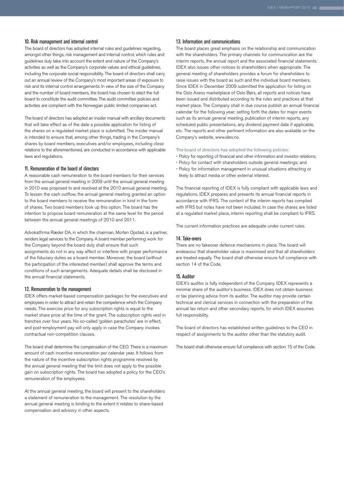#### 10. Risk management and internal control

The board of directors has adopted internal rules and guidelines regarding, amongst other things, risk management and internal control, which rules and guidelines duly take into account the extent and nature of the Company's activities as well as the Company's corporate values and ethical guidelines, including the corporate social responsibility. The board of directors shall carry out an annual review of the Company's most important areas of exposure to risk and its internal control arrangements. In view of the size of the Company and the number of board members, the board has chosen to elect the full board to constitute the audit committee. The audit committee policies and activities are compliant with the Norwegian public limited companies act.

The board of directors has adopted an insider manual with ancillary documents that will take effect as of the date a possible application for listing of the shares on a regulated market place is submitted. The insider manual is intended to ensure that, among other things, trading in the Company's shares by board members, executives and/or employees, including close relations to the aforementioned, are conducted in accordance with applicable laws and regulations.

#### 11. Remuneration of the board of directors

A reasonable cash remuneration to the board members for their services from the annual general meeting in 2009 until the annual general meeting in 2010 was proposed to and resolved at the 2010 annual general meeting. To lessen the cash outflow, the annual general meeting granted an option to the board members to receive the remuneration in kind in the form of shares. Two board members took up this option. The board has the intention to propose board remuneration at the same level for the period between the annual general meetings of 2010 and 2011.

Advokatfirma Ræder DA, in which the chairman, Morten Opstad, is a partner, renders legal services to the Company. A board member performing work for the Company beyond the board duty shall ensure that such assignments do not in any way affect or interfere with proper performance of the fiduciary duties as a board member. Moreover, the board (without the participation of the interested member) shall approve the terms and conditions of such arrangements. Adequate details shall be disclosed in the annual financial statements.

#### 12. Remuneration to the management

IDEX offers market-based compensation packages for the executives and employees in order to attract and retain the competence which the Company needs. The exercise price for any subscription rights is equal to the market share price at the time of the grant. The subscription rights vest in tranches over four years. No so-called 'golden parachutes' are in effect, and post-employment pay will only apply in case the Company invokes contractual non-competition clauses.

The board shall determine the compensation of the CEO. There is a maximum amount of cash incentive remuneration per calendar year. It follows from the nature of the incentive subscription rights programme resolved by the annual general meeting that the limit does not apply to the possible gain on subscription rights. The board has adopted a policy for the CEO's remuneration of the employees.

At the annual general meeting, the board will present to the shareholders a statement of remuneration to the management. The resolution by the annual general meeting is binding to the extent it relates to share-based compensation and advisory in other aspects.

#### 13. Information and communications

The board places great emphasis on the relationship and communication with the shareholders. The primary channels for communication are the interim reports, the annual report and the associated financial statements. IDEX also issues other notices to shareholders when appropriate. The general meeting of shareholders provides a forum for shareholders to raise issues with the board as such and the individual board members. Since IDEX in December 2009 submitted the application for listing on the Oslo Axess marketplace of Oslo Børs, all reports and notices have been issued and distributed according to the rules and practices at that market place. The Company shall in due course publish an annual financial calendar for the following year; setting forth the dates for major events such as its annual general meeting, publication of interim reports, any scheduled public presentations, any dividend payment date if applicable, etc. The reports and other pertinent information are also available on the Company's website, www.idex.no.

#### The board of directors has adopted the following policies:

- Policy for reporting of financial and other information and investor relations;
- Policy for contact with shareholders outside general meetings; and
- Policy for information management in unusual situations attracting or likely to attract media or other external interest.

The financial reporting of IDEX is fully compliant with applicable laws and regulations. IDEX prepares and presents its annual financial reports in accordance with IFRS. The content of the interim reports has complied with IFRS but notes have not been included. In case the shares are listed at a regulated market place, interim reporting shall be compliant to IFRS.

The current information practices are adequate under current rules.

#### 14. Take-overs

There are no takeover defence mechanisms in place. The board will endeavour that shareholder value is maximised and that all shareholders are treated equally. The board shall otherwise ensure full compliance with section 14 of the Code.

#### 15. Auditor

IDEX's auditor is fully independent of the Company. IDEX represents a minimal share of the auditor's business. IDEX does not obtain business or tax planning advice from its auditor. The auditor may provide certain technical and clerical services in connection with the preparation of the annual tax return and other secondary reports, for which IDEX assumes full responsibility.

The board of directors has established written guidelines to the CEO in respect of assignments to the auditor other than the statutory audit.

The board shall otherwise ensure full compliance with section 15 of the Code.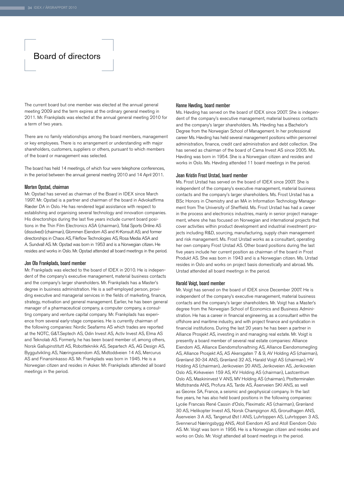# Board of directors

The current board but one member was elected at the annual general meeting 2009 and the term expires at the ordinary general meeting in 2011. Mr. Frankplads was elected at the annual general meeting 2010 for a term of two years.

There are no family relationships among the board members, management or key employees. There is no arrangement or understanding with major shareholders, customers, suppliers or others, pursuant to which members of the board or management was selected.

The board has held 14 meetings, of which four were telephone conferences, in the period between the annual general meeting 2010 and 14 April 2011.

#### Morten Opstad, chairman

Mr. Opstad has served as chairman of the Board in IDEX since March 1997. Mr. Opstad is a partner and chairman of the board in Advokatfirma Ræder DA in Oslo. He has rendered legal assistance with respect to establishing and organising several technology and innovation companies. His directorships during the last five years include current board positions in the Thin Film Electronics ASA (chairman), Total Sports Online AS (dissolved) (chairman), Glommen Eiendom AS and K-Konsult AS; and former directorships in Chaos AS, Fileflow Technologies AS, Rosa Media ASA and A. Sundvall AS. Mr. Opstad was born in 1953 and is a Norwegian citizen. He resides and works in Oslo. Mr. Opstad attended all board meetings in the period.

#### Jon Ola Frankplads, board member

Mr. Frankplads was elected to the board of IDEX in 2010. He is independent of the company's executive management, material business contacts and the company's larger shareholders. Mr. Frankplads has a Master's degree in business administration. He is a self-employed person, providing executive and managerial services in the fields of marketing, finance, strategy, motivation and general management. Earlier, he has been general manager of a pharmaceutical company, a computer company, a consulting company and venture capital company. Mr. Frankplads has experience from several early-stage companies. He is currently chairman of the following companies: Nordic Seafarms AS which trades are reported at the NOTC, G&T.Septech AS, Odin Invest AS, Activ Invest AS, Elma AS and Teknolab AS. Formerly, he has been board member of, among others, Norsk Gallupinstitutt AS, Robotteknikk AS, Separtech AS, AG Design AS, Byggutvikling AS, Næringseiendom AS, Midtoddveien 14 AS, Mercurus AS and Finansinkasso AS. Mr. Frankplads was born in 1945. He is a Norwegian citizen and resides in Asker. Mr. Frankplads attended all board meetings in the period.

#### Hanne Høvding, board member

Ms. Høvding has served on the board of IDEX since 2007. She is independent of the company's executive management, material business contacts and the company's larger shareholders. Ms. Høvding has a Bachelor's Degree from the Norwegian School of Management. In her professional career Ms. Høvding has held several management positions within personnel administration, finance, credit card administration and debt collection. She has served as chairman of the board of Cama Invest AS since 2005. Ms. Høvding was born in 1954. She is a Norwegian citizen and resides and works in Oslo. Ms. Høvding attended 11 board meetings in the period.

#### Joan Kristin Frost Urstad, board member

Ms. Frost Urstad has served on the board of IDEX since 2007. She is independent of the company's executive management, material business contacts and the company's larger shareholders. Ms. Frost Urstad has a BSc Honors in Chemistry and an MA in Information Technology Management from The University of Sheffield. Ms. Frost Urstad has had a career in the process and electronics industries, mainly in senior project management, where she has focused on Norwegian and international projects that cover activities within product development and industrial investment projects including R&D, sourcing, manufacturing, supply chain management and risk management. Ms. Frost Urstad works as a consultant, operating her own company Frost Urstad AS. Other board positions during the last five years include her current position as chairman of the board in Frost Produkt AS. She was born in 1943 and is a Norwegian citizen. Ms. Urstad resides in Oslo and works on project basis domestically and abroad. Ms. Urstad attended all board meetings in the period.

#### Harald Voigt, board member

Mr. Voigt has served on the board of IDEX since December 2007. He is independent of the company's executive management, material business contacts and the company's larger shareholders. Mr. Voigt has a Master's degree from the Norwegian School of Economics and Business Administration. He has a career in financial engineering, as a consultant within the offshore and maritime industry, and with project finance and syndication in financial institutions. During the last 20 years he has been a partner in Alliance Prosjekt AS, investing in and managing real estate. Mr. Voigt is presently a board member of several real estate companies: Alliance Eiendom AS, Alliance Eiendomsforvaltning AS, Alliance Eiendomsmegling AS, Alliance Prosjekt AS, AS Akersgaten 7 & 9, AV Holding AS (chairman), Grønland 30-34 ANS, Grønland 32 AS, Harald Voigt AS (chairman), HV Holding AS (chairman), Jerikoveien 20 ANS, Jerikoveien AS, Jerikoveien Oslo AS, Kirkeveien 159 AS, KV Holding AS (chairman), Lastcentrum Oslo AS, Maskininvest V ANS, MV Holding AS (chairman), Postterminalen Midtstranda ANS, Profura AS, Tarde AS, Åsenveien SKI ANS, as well as Georex SA, France, a seismic and geophysical company. In the last five years, he has also held board positions in the following companies: Lycée Francais René Cassin d'Oslo, Fleximatic AS (chairman), Grønland 30 AS, Helikopter Invest AS, Norsk Champignon AS, Grorudhagen ANS, Åsenveien 3 A AS, Tangerud Øst I ANS, Luhrtoppen AS, Luhrtoppen 3 AS, Svennerud Næringsbygg ANS, Atoll Eiendom AS and Atoll Eiendom Oslo AS. Mr. Voigt was born in 1956. He is a Norwegian citizen and resides and works on Oslo. Mr. Voigt attended all board meetings in the period.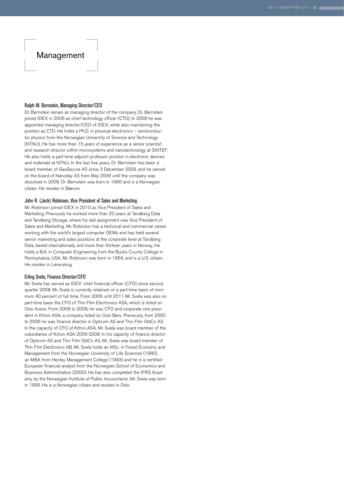### Management

#### Ralph W. Bernstein, Managing Director/CEO

Dr. Bernstein serves as managing director of the company. Dr. Bernstein joined IDEX in 2006 as chief technology officer (CTO). In 2008 he was appointed managing director/CEO of IDEX, while also maintaining the position as CTO. He holds a Ph.D. in physical electronics – semiconductor physics from the Norwegian University of Science and Technology (NTNU). He has more than 15 years of experience as a senior scientist and research director within microsystems and nanotechnology at SINTEF. He also holds a part-time adjunct professor position in electronic devices and materials at NTNU. In the last five years, Dr. Bernstein has been a board member of GasSecure AS since 3 December 2009. and he served on the board of Nanoday AS from May 2009 until the company was dissolved in 2009. Dr. Bernstein was born in 1960 and is a Norwegian citizen. He resides in Bærum.

#### John R. (Jack) Robinson, Vice President of Sales and Marketing

Mr. Robinson joined IDEX in 2010 as Vice President of Sales and Marketing. Previously he worked more than 20 years at Tandberg Data and Tandberg Storage, where his last assignment was Vice President of Sales and Marketing. Mr. Robinson has a technical and commercial career working with the world's largest computer OEMs and has held several senior marketing and sales positions at the corporate level at Tandberg Data, based internationally and more than thirteen years in Norway. He holds a B.A. in Computer Engineering from the Bucks County College in Pennsylvania, USA. Mr. Robinson was born in 1964, and is a U.S. citizen. He resides in Lørenskog.

#### Erling Svela, Finance Director/CFO

Mr. Svela has served as IDEX' chief financial officer (CFO) since second quarter 2008. Mr. Svela is currently retained on a part-time basis of minimum 40 percent of full time. From 2006 until 2011 Mr. Svela was also on part-time basis the CFO of Thin Film Electronics ASA, which is listed on Oslo Axess. From 2006 to 2008, he was CFO and corporate vice president in Kitron ASA, a company listed on Oslo Børs. Previously, from 2000 to 2006 he was finance director in Opticom AS and Thin Film OldCo AS. In the capacity of CFO of Kitron ASA, Mr. Svela was board member of the subsidiaries of Kitron ASA 2006-2008. In his capacity of finance director of Opticom AS and Thin Film OldCo AS, Mr. Svela was board member of Thin Film Electronics AB. Mr. Svela holds an MSc. in Forest Economy and Management from the Norwegian University of Life Sciences (1985), an MBA from Henley Management College (1993) and he is a certified European financial analyst from the Norwegian School of Economics and Business Administration (2000). He has also completed the IFRS Academy by the Norwegian Institute of Public Accountants. Mr. Svela was born in 1958. He is a Norwegian citizen and resides in Oslo.